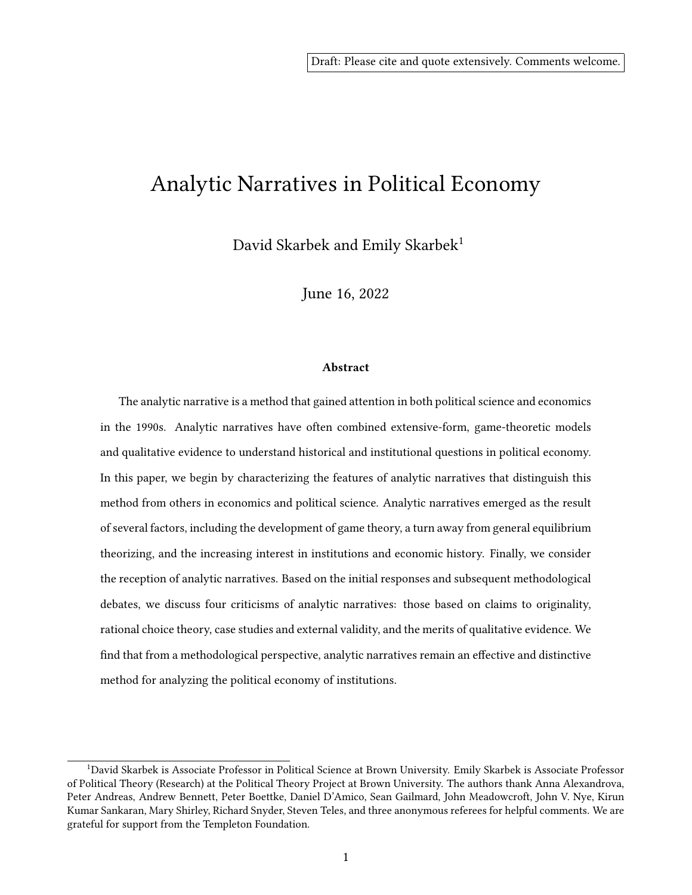# Analytic Narratives in Political Economy

David Skarbek and Emily Skarbek<sup>1</sup>

June 16, 2022

#### Abstract

The analytic narrative is a method that gained attention in both political science and economics in the 1990s. Analytic narratives have often combined extensive-form, game-theoretic models and qualitative evidence to understand historical and institutional questions in political economy. In this paper, we begin by characterizing the features of analytic narratives that distinguish this method from others in economics and political science. Analytic narratives emerged as the result of several factors, including the development of game theory, a turn away from general equilibrium theorizing, and the increasing interest in institutions and economic history. Finally, we consider the reception of analytic narratives. Based on the initial responses and subsequent methodological debates, we discuss four criticisms of analytic narratives: those based on claims to originality, rational choice theory, case studies and external validity, and the merits of qualitative evidence. We find that from a methodological perspective, analytic narratives remain an effective and distinctive method for analyzing the political economy of institutions.

<sup>1</sup>David Skarbek is Associate Professor in Political Science at Brown University. Emily Skarbek is Associate Professor of Political Theory (Research) at the Political Theory Project at Brown University. The authors thank Anna Alexandrova, Peter Andreas, Andrew Bennett, Peter Boettke, Daniel D'Amico, Sean Gailmard, John Meadowcroft, John V. Nye, Kirun Kumar Sankaran, Mary Shirley, Richard Snyder, Steven Teles, and three anonymous referees for helpful comments. We are grateful for support from the Templeton Foundation.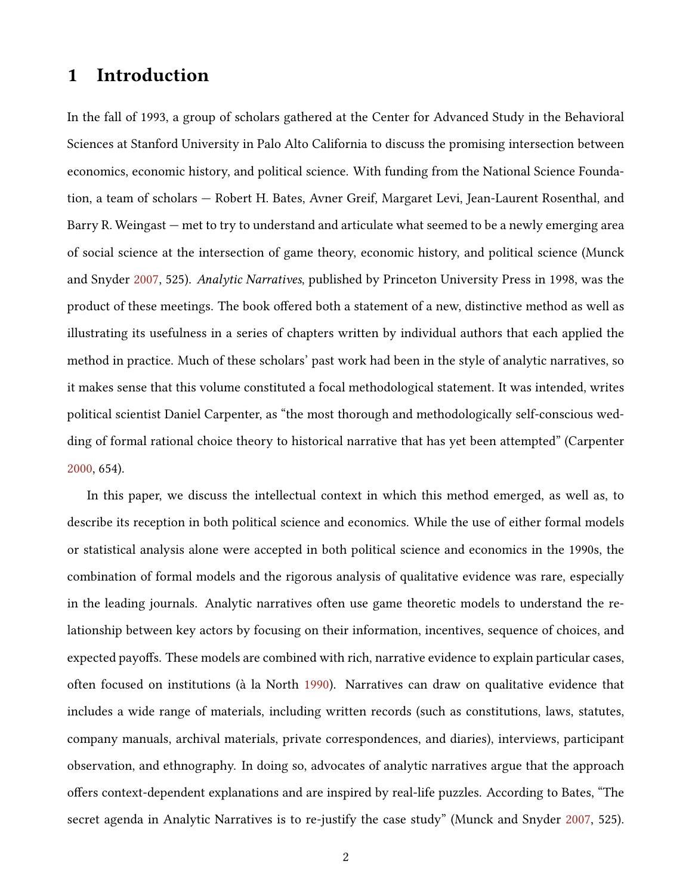## 1 Introduction

In the fall of 1993, a group of scholars gathered at the Center for Advanced Study in the Behavioral Sciences at Stanford University in Palo Alto California to discuss the promising intersection between economics, economic history, and political science. With funding from the National Science Foundation, a team of scholars — Robert H. Bates, Avner Greif, Margaret Levi, Jean-Laurent Rosenthal, and Barry R. Weingast — met to try to understand and articulate what seemed to be a newly emerging area of social science at the intersection of game theory, economic history, and political science (Munck and Snyder [2007,](#page-29-0) 525). Analytic Narratives, published by Princeton University Press in 1998, was the product of these meetings. The book offered both a statement of a new, distinctive method as well as illustrating its usefulness in a series of chapters written by individual authors that each applied the method in practice. Much of these scholars' past work had been in the style of analytic narratives, so it makes sense that this volume constituted a focal methodological statement. It was intended, writes political scientist Daniel Carpenter, as "the most thorough and methodologically self-conscious wedding of formal rational choice theory to historical narrative that has yet been attempted" (Carpenter [2000,](#page-26-0) 654).

In this paper, we discuss the intellectual context in which this method emerged, as well as, to describe its reception in both political science and economics. While the use of either formal models or statistical analysis alone were accepted in both political science and economics in the 1990s, the combination of formal models and the rigorous analysis of qualitative evidence was rare, especially in the leading journals. Analytic narratives often use game theoretic models to understand the relationship between key actors by focusing on their information, incentives, sequence of choices, and expected payoffs. These models are combined with rich, narrative evidence to explain particular cases, often focused on institutions (à la North [1990\)](#page-30-0). Narratives can draw on qualitative evidence that includes a wide range of materials, including written records (such as constitutions, laws, statutes, company manuals, archival materials, private correspondences, and diaries), interviews, participant observation, and ethnography. In doing so, advocates of analytic narratives argue that the approach offers context-dependent explanations and are inspired by real-life puzzles. According to Bates, "The secret agenda in Analytic Narratives is to re-justify the case study" (Munck and Snyder [2007,](#page-29-0) 525).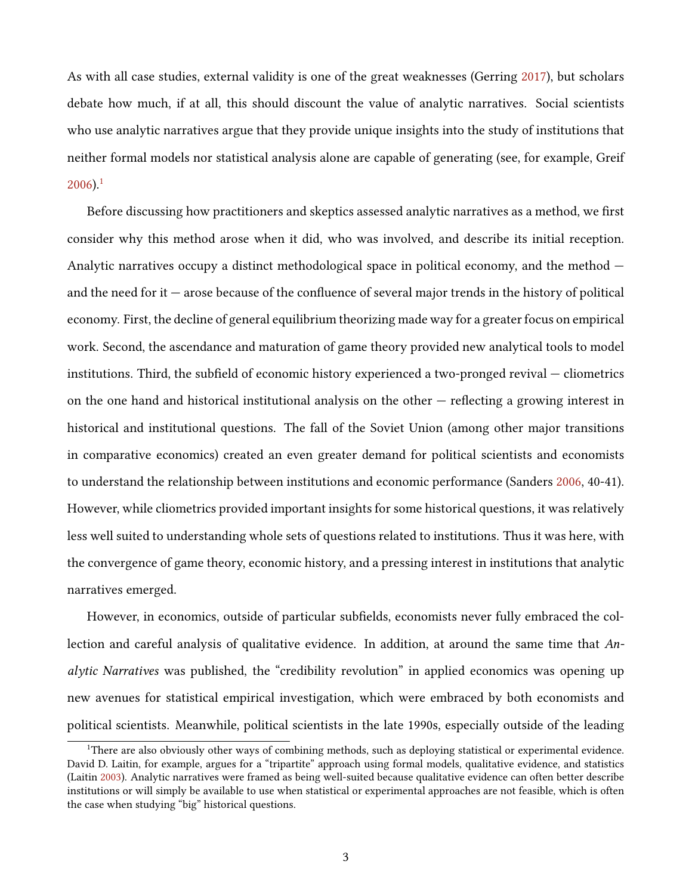As with all case studies, external validity is one of the great weaknesses (Gerring [2017\)](#page-27-0), but scholars debate how much, if at all, this should discount the value of analytic narratives. Social scientists who use analytic narratives argue that they provide unique insights into the study of institutions that neither formal models nor statistical analysis alone are capable of generating (see, for example, Greif  $2006$ ).<sup>[1](#page-2-0)</sup>

Before discussing how practitioners and skeptics assessed analytic narratives as a method, we first consider why this method arose when it did, who was involved, and describe its initial reception. Analytic narratives occupy a distinct methodological space in political economy, and the method and the need for it  $-$  arose because of the confluence of several major trends in the history of political economy. First, the decline of general equilibrium theorizing made way for a greater focus on empirical work. Second, the ascendance and maturation of game theory provided new analytical tools to model institutions. Third, the subfield of economic history experienced a two-pronged revival  $-$  cliometrics on the one hand and historical institutional analysis on the other  $-$  reflecting a growing interest in historical and institutional questions. The fall of the Soviet Union (among other major transitions in comparative economics) created an even greater demand for political scientists and economists to understand the relationship between institutions and economic performance (Sanders [2006,](#page-30-1) 40-41). However, while cliometrics provided important insights for some historical questions, it was relatively less well suited to understanding whole sets of questions related to institutions. Thus it was here, with the convergence of game theory, economic history, and a pressing interest in institutions that analytic narratives emerged.

However, in economics, outside of particular subfields, economists never fully embraced the collection and careful analysis of qualitative evidence. In addition, at around the same time that Analytic Narratives was published, the "credibility revolution" in applied economics was opening up new avenues for statistical empirical investigation, which were embraced by both economists and political scientists. Meanwhile, political scientists in the late 1990s, especially outside of the leading

<span id="page-2-0"></span><sup>1</sup>There are also obviously other ways of combining methods, such as deploying statistical or experimental evidence. David D. Laitin, for example, argues for a "tripartite" approach using formal models, qualitative evidence, and statistics (Laitin [2003\)](#page-28-1). Analytic narratives were framed as being well-suited because qualitative evidence can often better describe institutions or will simply be available to use when statistical or experimental approaches are not feasible, which is often the case when studying "big" historical questions.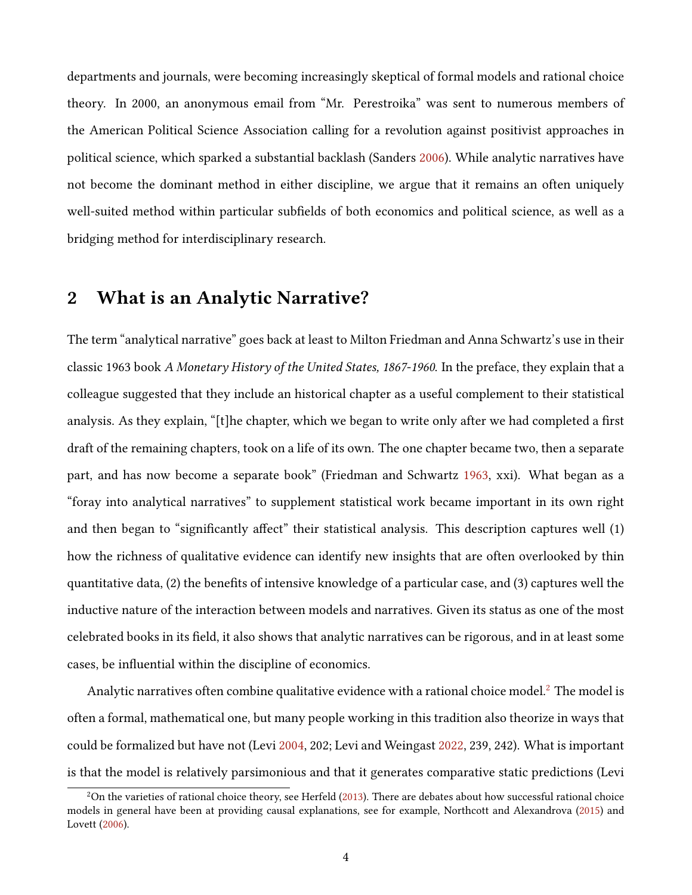departments and journals, were becoming increasingly skeptical of formal models and rational choice theory. In 2000, an anonymous email from "Mr. Perestroika" was sent to numerous members of the American Political Science Association calling for a revolution against positivist approaches in political science, which sparked a substantial backlash (Sanders [2006\)](#page-30-1). While analytic narratives have not become the dominant method in either discipline, we argue that it remains an often uniquely well-suited method within particular subfields of both economics and political science, as well as a bridging method for interdisciplinary research.

### 2 What is an Analytic Narrative?

The term "analytical narrative" goes back at least to Milton Friedman and Anna Schwartz's use in their classic 1963 book A Monetary History of the United States, 1867-1960. In the preface, they explain that a colleague suggested that they include an historical chapter as a useful complement to their statistical analysis. As they explain, " $[t]$ he chapter, which we began to write only after we had completed a first draft of the remaining chapters, took on a life of its own. The one chapter became two, then a separate part, and has now become a separate book" (Friedman and Schwartz [1963,](#page-27-1) xxi). What began as a "foray into analytical narratives" to supplement statistical work became important in its own right and then began to "significantly affect" their statistical analysis. This description captures well (1) how the richness of qualitative evidence can identify new insights that are often overlooked by thin quantitative data,  $(2)$  the benefits of intensive knowledge of a particular case, and  $(3)$  captures well the inductive nature of the interaction between models and narratives. Given its status as one of the most celebrated books in its field, it also shows that analytic narratives can be rigorous, and in at least some cases, be influential within the discipline of economics.

Analytic narratives often combine qualitative evidence with a rational choice model.<sup>[2](#page-3-0)</sup> The model is often a formal, mathematical one, but many people working in this tradition also theorize in ways that could be formalized but have not (Levi [2004,](#page-29-1) 202; Levi and Weingast [2022,](#page-29-2) 239, 242). What is important is that the model is relatively parsimonious and that it generates comparative static predictions (Levi

<span id="page-3-0"></span> $2$ On the varieties of rational choice theory, see Herfeld [\(2013\)](#page-28-2). There are debates about how successful rational choice models in general have been at providing causal explanations, see for example, Northcott and Alexandrova [\(2015\)](#page-30-2) and Lovett [\(2006\)](#page-29-3).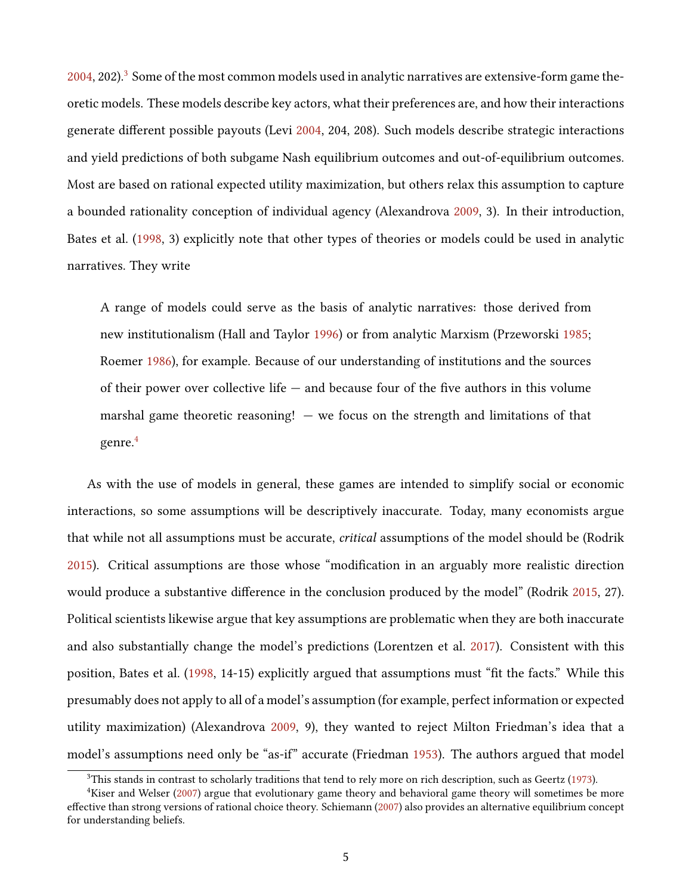$2004$ , 202).<sup>[3](#page-4-0)</sup> Some of the most common models used in analytic narratives are extensive-form game theoretic models. These models describe key actors, what their preferences are, and how their interactions generate different possible payouts (Levi [2004,](#page-29-1) 204, 208). Such models describe strategic interactions and yield predictions of both subgame Nash equilibrium outcomes and out-of-equilibrium outcomes. Most are based on rational expected utility maximization, but others relax this assumption to capture a bounded rationality conception of individual agency (Alexandrova [2009,](#page-25-0) 3). In their introduction, Bates et al. [\(1998,](#page-25-1) 3) explicitly note that other types of theories or models could be used in analytic narratives. They write

A range of models could serve as the basis of analytic narratives: those derived from new institutionalism (Hall and Taylor [1996\)](#page-28-3) or from analytic Marxism (Przeworski [1985;](#page-30-3) Roemer [1986\)](#page-30-4), for example. Because of our understanding of institutions and the sources of their power over collective life  $-$  and because four of the five authors in this volume marshal game theoretic reasoning!  $-$  we focus on the strength and limitations of that genre.<sup>[4](#page-4-1)</sup>

As with the use of models in general, these games are intended to simplify social or economic interactions, so some assumptions will be descriptively inaccurate. Today, many economists argue that while not all assumptions must be accurate, critical assumptions of the model should be (Rodrik [2015\)](#page-30-5). Critical assumptions are those whose "modification in an arguably more realistic direction would produce a substantive difference in the conclusion produced by the model" (Rodrik [2015,](#page-30-5) 27). Political scientists likewise argue that key assumptions are problematic when they are both inaccurate and also substantially change the model's predictions (Lorentzen et al. [2017\)](#page-29-4). Consistent with this position, Bates et al. [\(1998,](#page-25-1) 14-15) explicitly argued that assumptions must "fit the facts." While this presumably does not apply to all of a model's assumption (for example, perfect information or expected utility maximization) (Alexandrova [2009,](#page-25-0) 9), they wanted to reject Milton Friedman's idea that a model's assumptions need only be "as-if" accurate (Friedman [1953\)](#page-27-2). The authors argued that model

<span id="page-4-1"></span><span id="page-4-0"></span> $3$ This stands in contrast to scholarly traditions that tend to rely more on rich description, such as Geertz [\(1973\)](#page-27-3).

 $4$ Kiser and Welser [\(2007\)](#page-28-4) argue that evolutionary game theory and behavioral game theory will sometimes be more effective than strong versions of rational choice theory. Schiemann [\(2007\)](#page-31-0) also provides an alternative equilibrium concept for understanding beliefs.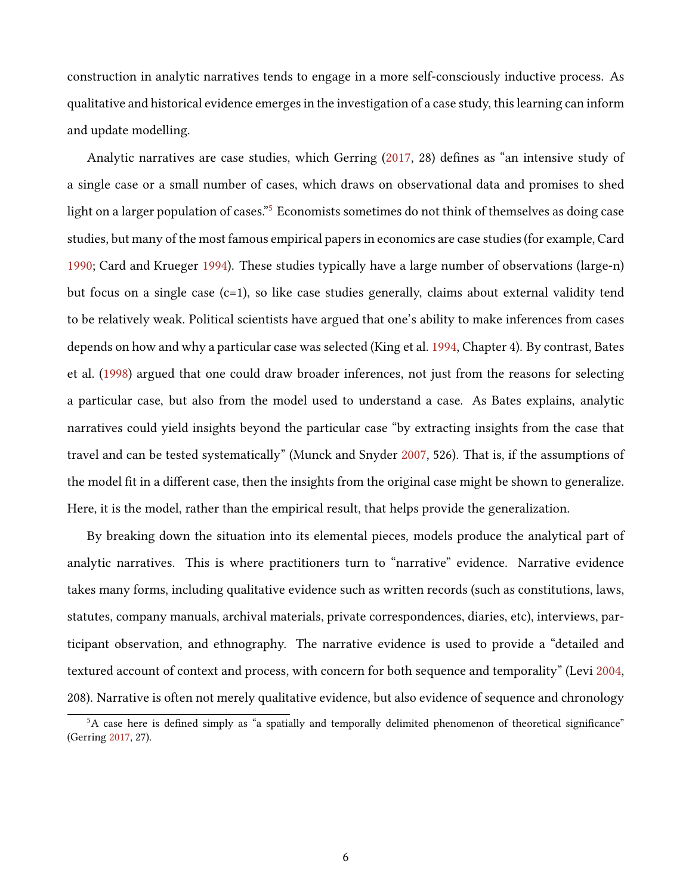construction in analytic narratives tends to engage in a more self-consciously inductive process. As qualitative and historical evidence emerges in the investigation of a case study, this learning can inform and update modelling.

Analytic narratives are case studies, which Gerring [\(2017,](#page-27-0) 28) defines as "an intensive study of a single case or a small number of cases, which draws on observational data and promises to shed light on a larger population of cases."<sup>[5](#page-5-0)</sup> Economists sometimes do not think of themselves as doing case studies, but many of the most famous empirical papers in economics are case studies (for example, Card [1990;](#page-26-1) Card and Krueger [1994\)](#page-26-2). These studies typically have a large number of observations (large-n) but focus on a single case  $(c=1)$ , so like case studies generally, claims about external validity tend to be relatively weak. Political scientists have argued that one's ability to make inferences from cases depends on how and why a particular case was selected (King et al. [1994,](#page-28-5) Chapter 4). By contrast, Bates et al. [\(1998\)](#page-25-1) argued that one could draw broader inferences, not just from the reasons for selecting a particular case, but also from the model used to understand a case. As Bates explains, analytic narratives could yield insights beyond the particular case "by extracting insights from the case that travel and can be tested systematically" (Munck and Snyder [2007,](#page-29-0) 526). That is, if the assumptions of the model fit in a different case, then the insights from the original case might be shown to generalize. Here, it is the model, rather than the empirical result, that helps provide the generalization.

By breaking down the situation into its elemental pieces, models produce the analytical part of analytic narratives. This is where practitioners turn to "narrative" evidence. Narrative evidence takes many forms, including qualitative evidence such as written records (such as constitutions, laws, statutes, company manuals, archival materials, private correspondences, diaries, etc), interviews, participant observation, and ethnography. The narrative evidence is used to provide a "detailed and textured account of context and process, with concern for both sequence and temporality" (Levi [2004,](#page-29-1) 208). Narrative is often not merely qualitative evidence, but also evidence of sequence and chronology

<span id="page-5-0"></span><sup>&</sup>lt;sup>5</sup>A case here is defined simply as "a spatially and temporally delimited phenomenon of theoretical significance" (Gerring [2017,](#page-27-0) 27).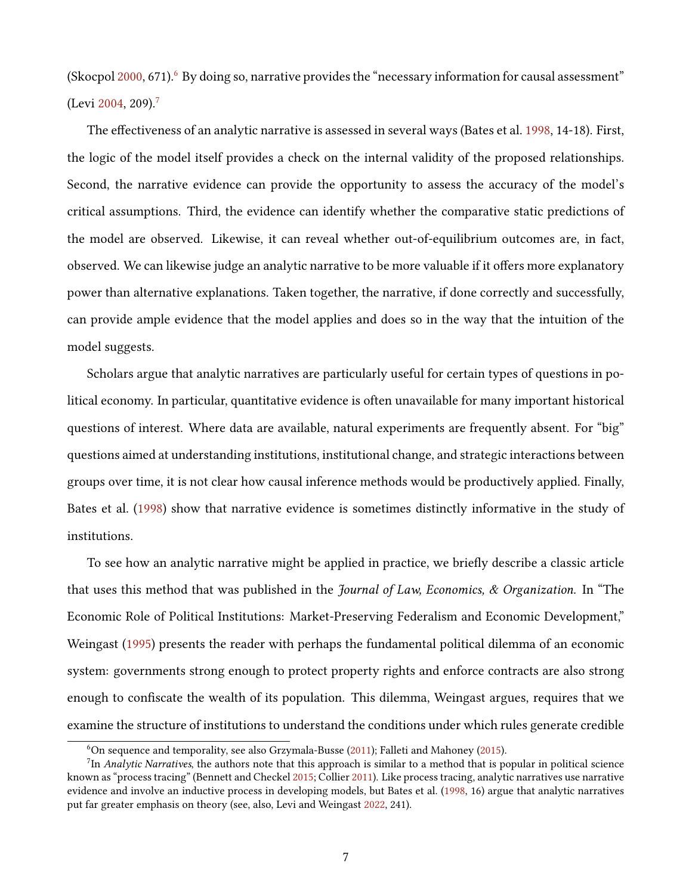(Skocpol  $2000, 671$  $2000, 671$  $2000, 671$  $2000, 671$ ).<sup>6</sup> By doing so, narrative provides the "necessary information for causal assessment" (Levi [2004,](#page-29-1) 209).[7](#page-6-1)

The effectiveness of an analytic narrative is assessed in several ways (Bates et al. [1998,](#page-25-1) 14-18). First, the logic of the model itself provides a check on the internal validity of the proposed relationships. Second, the narrative evidence can provide the opportunity to assess the accuracy of the model's critical assumptions. Third, the evidence can identify whether the comparative static predictions of the model are observed. Likewise, it can reveal whether out-of-equilibrium outcomes are, in fact, observed. We can likewise judge an analytic narrative to be more valuable if it offers more explanatory power than alternative explanations. Taken together, the narrative, if done correctly and successfully, can provide ample evidence that the model applies and does so in the way that the intuition of the model suggests.

Scholars argue that analytic narratives are particularly useful for certain types of questions in political economy. In particular, quantitative evidence is often unavailable for many important historical questions of interest. Where data are available, natural experiments are frequently absent. For "big" questions aimed at understanding institutions, institutional change, and strategic interactions between groups over time, it is not clear how causal inference methods would be productively applied. Finally, Bates et al. [\(1998\)](#page-25-1) show that narrative evidence is sometimes distinctly informative in the study of institutions.

To see how an analytic narrative might be applied in practice, we briefly describe a classic article that uses this method that was published in the Journal of Law, Economics, & Organization. In "The Economic Role of Political Institutions: Market-Preserving Federalism and Economic Development," Weingast [\(1995\)](#page-31-2) presents the reader with perhaps the fundamental political dilemma of an economic system: governments strong enough to protect property rights and enforce contracts are also strong enough to confiscate the wealth of its population. This dilemma, Weingast argues, requires that we examine the structure of institutions to understand the conditions under which rules generate credible

<span id="page-6-1"></span><span id="page-6-0"></span> $6$ On sequence and temporality, see also Grzymala-Busse [\(2011\)](#page-28-6); Falleti and Mahoney [\(2015\)](#page-27-4).

 $7$ In Analytic Narratives, the authors note that this approach is similar to a method that is popular in political science known as "process tracing" (Bennett and Checkel [2015;](#page-25-2) Collier [2011\)](#page-26-3). Like process tracing, analytic narratives use narrative evidence and involve an inductive process in developing models, but Bates et al. [\(1998,](#page-25-1) 16) argue that analytic narratives put far greater emphasis on theory (see, also, Levi and Weingast [2022,](#page-29-2) 241).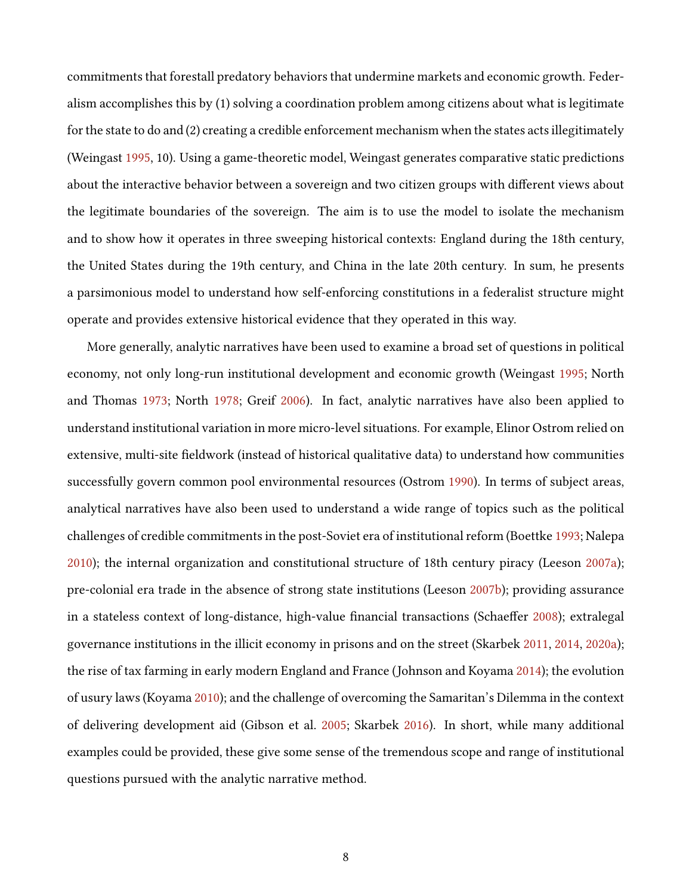commitments that forestall predatory behaviors that undermine markets and economic growth. Federalism accomplishes this by (1) solving a coordination problem among citizens about what is legitimate for the state to do and (2) creating a credible enforcement mechanism when the states acts illegitimately (Weingast [1995,](#page-31-2) 10). Using a game-theoretic model, Weingast generates comparative static predictions about the interactive behavior between a sovereign and two citizen groups with different views about the legitimate boundaries of the sovereign. The aim is to use the model to isolate the mechanism and to show how it operates in three sweeping historical contexts: England during the 18th century, the United States during the 19th century, and China in the late 20th century. In sum, he presents a parsimonious model to understand how self-enforcing constitutions in a federalist structure might operate and provides extensive historical evidence that they operated in this way.

More generally, analytic narratives have been used to examine a broad set of questions in political economy, not only long-run institutional development and economic growth (Weingast [1995;](#page-31-2) North and Thomas [1973;](#page-30-6) North [1978;](#page-29-5) Greif [2006\)](#page-28-0). In fact, analytic narratives have also been applied to understand institutional variation in more micro-level situations. For example, Elinor Ostrom relied on extensive, multi-site fieldwork (instead of historical qualitative data) to understand how communities successfully govern common pool environmental resources (Ostrom [1990\)](#page-30-7). In terms of subject areas, analytical narratives have also been used to understand a wide range of topics such as the political challenges of credible commitments in the post-Soviet era of institutional reform (Boettke [1993;](#page-25-3) Nalepa [2010\)](#page-29-6); the internal organization and constitutional structure of 18th century piracy (Leeson [2007a\)](#page-28-7); pre-colonial era trade in the absence of strong state institutions (Leeson [2007b\)](#page-28-8); providing assurance in a stateless context of long-distance, high-value financial transactions (Schaeffer  $2008$ ); extralegal governance institutions in the illicit economy in prisons and on the street (Skarbek [2011,](#page-31-3) [2014,](#page-31-4) [2020a\)](#page-31-5); the rise of tax farming in early modern England and France (Johnson and Koyama [2014\)](#page-28-9); the evolution of usury laws (Koyama [2010\)](#page-28-10); and the challenge of overcoming the Samaritan's Dilemma in the context of delivering development aid (Gibson et al. [2005;](#page-27-5) Skarbek [2016\)](#page-31-6). In short, while many additional examples could be provided, these give some sense of the tremendous scope and range of institutional questions pursued with the analytic narrative method.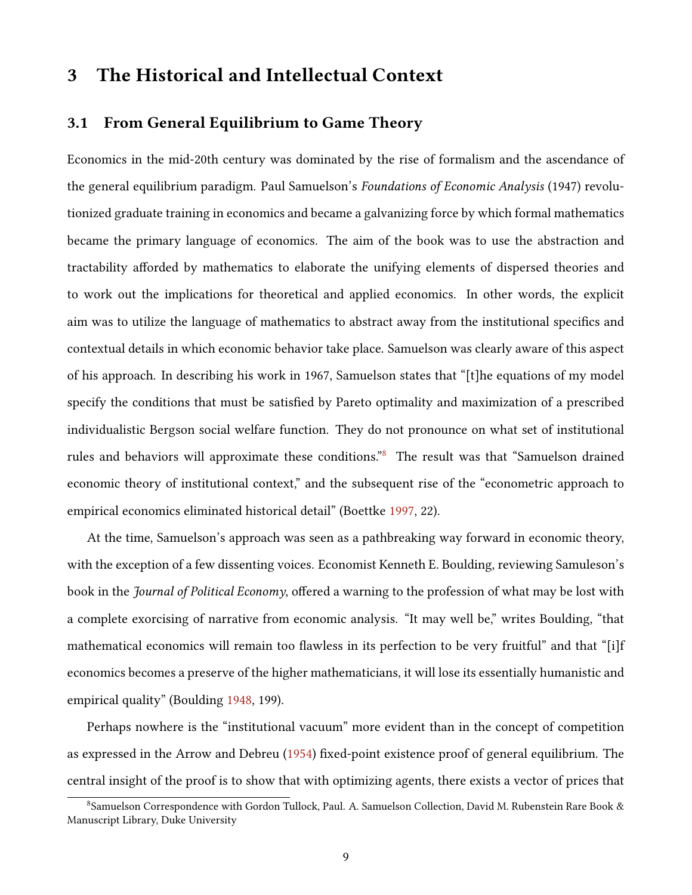## 3 The Historical and Intellectual Context

#### 3.1 From General Equilibrium to Game Theory

Economics in the mid-20th century was dominated by the rise of formalism and the ascendance of the general equilibrium paradigm. Paul Samuelson's Foundations of Economic Analysis (1947) revolutionized graduate training in economics and became a galvanizing force by which formal mathematics became the primary language of economics. The aim of the book was to use the abstraction and tractability afforded by mathematics to elaborate the unifying elements of dispersed theories and to work out the implications for theoretical and applied economics. In other words, the explicit aim was to utilize the language of mathematics to abstract away from the institutional specifics and contextual details in which economic behavior take place. Samuelson was clearly aware of this aspect of his approach. In describing his work in 1967, Samuelson states that "[t]he equations of my model specify the conditions that must be satisfied by Pareto optimality and maximization of a prescribed individualistic Bergson social welfare function. They do not pronounce on what set of institutional rules and behaviors will approximate these conditions."<sup>[8](#page-8-0)</sup> The result was that "Samuelson drained economic theory of institutional context," and the subsequent rise of the "econometric approach to empirical economics eliminated historical detail" (Boettke [1997,](#page-25-4) 22).

At the time, Samuelson's approach was seen as a pathbreaking way forward in economic theory, with the exception of a few dissenting voices. Economist Kenneth E. Boulding, reviewing Samuleson's book in the *Journal of Political Economy*, offered a warning to the profession of what may be lost with a complete exorcising of narrative from economic analysis. "It may well be," writes Boulding, "that mathematical economics will remain too flawless in its perfection to be very fruitful" and that "[i]f economics becomes a preserve of the higher mathematicians, it will lose its essentially humanistic and empirical quality" (Boulding [1948,](#page-26-4) 199).

Perhaps nowhere is the "institutional vacuum" more evident than in the concept of competition as expressed in the Arrow and Debreu [\(1954\)](#page-25-5) fixed-point existence proof of general equilibrium. The central insight of the proof is to show that with optimizing agents, there exists a vector of prices that

<span id="page-8-0"></span> $8$ Samuelson Correspondence with Gordon Tullock, Paul. A. Samuelson Collection, David M. Rubenstein Rare Book & Manuscript Library, Duke University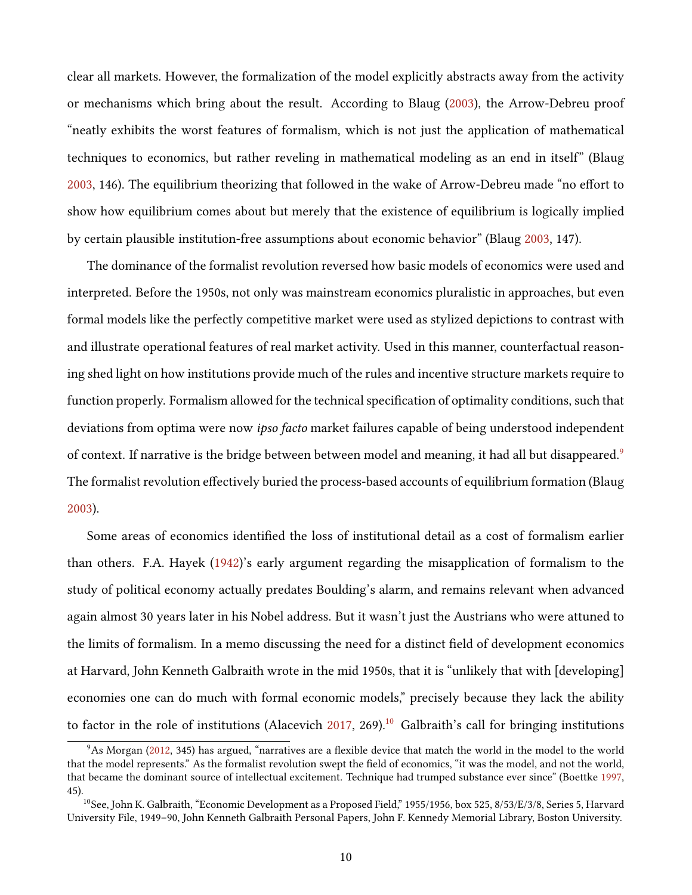clear all markets. However, the formalization of the model explicitly abstracts away from the activity or mechanisms which bring about the result. According to Blaug [\(2003\)](#page-25-6), the Arrow-Debreu proof "neatly exhibits the worst features of formalism, which is not just the application of mathematical techniques to economics, but rather reveling in mathematical modeling as an end in itself" (Blaug [2003,](#page-25-6) 146). The equilibrium theorizing that followed in the wake of Arrow-Debreu made "no effort to show how equilibrium comes about but merely that the existence of equilibrium is logically implied by certain plausible institution-free assumptions about economic behavior" (Blaug [2003,](#page-25-6) 147).

The dominance of the formalist revolution reversed how basic models of economics were used and interpreted. Before the 1950s, not only was mainstream economics pluralistic in approaches, but even formal models like the perfectly competitive market were used as stylized depictions to contrast with and illustrate operational features of real market activity. Used in this manner, counterfactual reasoning shed light on how institutions provide much of the rules and incentive structure markets require to function properly. Formalism allowed for the technical specification of optimality conditions, such that deviations from optima were now ipso facto market failures capable of being understood independent of context. If narrative is the bridge between between model and meaning, it had all but disappeared.<sup>[9](#page-9-0)</sup> The formalist revolution effectively buried the process-based accounts of equilibrium formation (Blaug) [2003\)](#page-25-6).

Some areas of economics identified the loss of institutional detail as a cost of formalism earlier than others. F.A. Hayek [\(1942\)](#page-28-11)'s early argument regarding the misapplication of formalism to the study of political economy actually predates Boulding's alarm, and remains relevant when advanced again almost 30 years later in his Nobel address. But it wasn't just the Austrians who were attuned to the limits of formalism. In a memo discussing the need for a distinct field of development economics at Harvard, John Kenneth Galbraith wrote in the mid 1950s, that it is "unlikely that with [developing] economies one can do much with formal economic models," precisely because they lack the ability to factor in the role of institutions (Alacevich  $2017$ , 269).<sup>[10](#page-9-1)</sup> Galbraith's call for bringing institutions

<span id="page-9-0"></span> $9$ As Morgan [\(2012,](#page-29-7) 345) has argued, "narratives are a flexible device that match the world in the model to the world that the model represents." As the formalist revolution swept the field of economics, "it was the model, and not the world, that became the dominant source of intellectual excitement. Technique had trumped substance ever since" (Boettke [1997,](#page-25-4) 45).

<span id="page-9-1"></span><sup>&</sup>lt;sup>10</sup>See, John K. Galbraith, "Economic Development as a Proposed Field," 1955/1956, box 525, 8/53/E/3/8, Series 5, Harvard University File, 1949–90, John Kenneth Galbraith Personal Papers, John F. Kennedy Memorial Library, Boston University.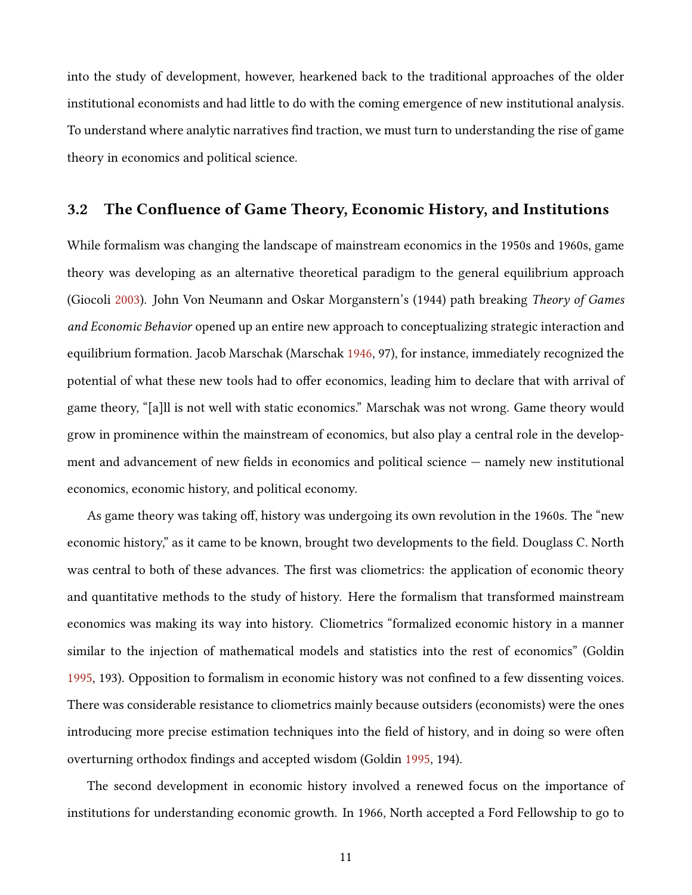into the study of development, however, hearkened back to the traditional approaches of the older institutional economists and had little to do with the coming emergence of new institutional analysis. To understand where analytic narratives find traction, we must turn to understanding the rise of game theory in economics and political science.

### 3.2 The Confluence of Game Theory, Economic History, and Institutions

While formalism was changing the landscape of mainstream economics in the 1950s and 1960s, game theory was developing as an alternative theoretical paradigm to the general equilibrium approach (Giocoli [2003\)](#page-27-6). John Von Neumann and Oskar Morganstern's (1944) path breaking Theory of Games and Economic Behavior opened up an entire new approach to conceptualizing strategic interaction and equilibrium formation. Jacob Marschak (Marschak [1946,](#page-29-8) 97), for instance, immediately recognized the potential of what these new tools had to offer economics, leading him to declare that with arrival of game theory, "[a]ll is not well with static economics." Marschak was not wrong. Game theory would grow in prominence within the mainstream of economics, but also play a central role in the development and advancement of new fields in economics and political science  $-$  namely new institutional economics, economic history, and political economy.

As game theory was taking off, history was undergoing its own revolution in the 1960s. The "new economic history," as it came to be known, brought two developments to the field. Douglass C. North was central to both of these advances. The first was cliometrics: the application of economic theory and quantitative methods to the study of history. Here the formalism that transformed mainstream economics was making its way into history. Cliometrics "formalized economic history in a manner similar to the injection of mathematical models and statistics into the rest of economics" (Goldin [1995,](#page-27-7) 193). Opposition to formalism in economic history was not confined to a few dissenting voices. There was considerable resistance to cliometrics mainly because outsiders (economists) were the ones introducing more precise estimation techniques into the field of history, and in doing so were often overturning orthodox findings and accepted wisdom (Goldin [1995,](#page-27-7) 194).

The second development in economic history involved a renewed focus on the importance of institutions for understanding economic growth. In 1966, North accepted a Ford Fellowship to go to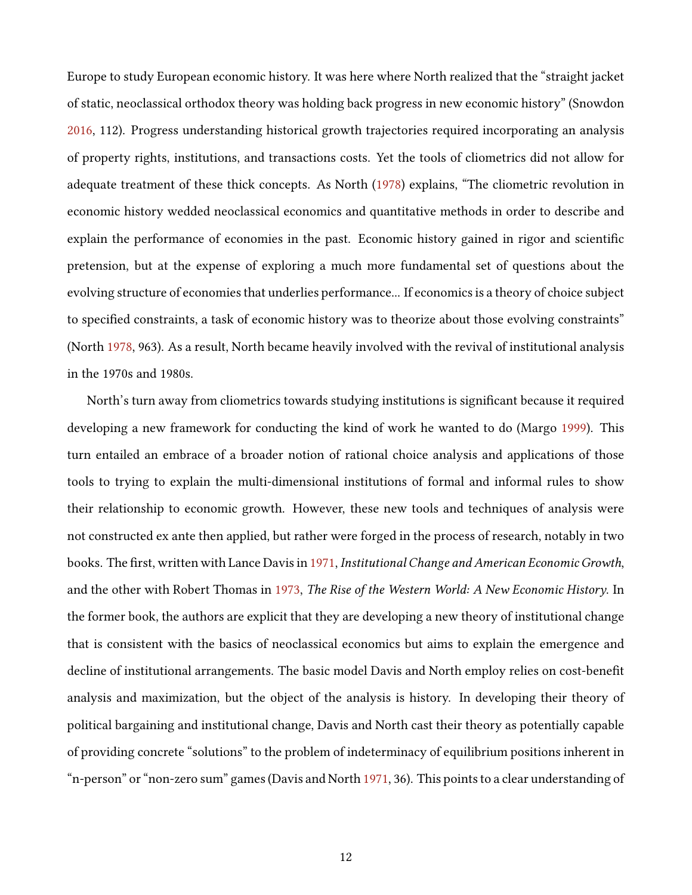Europe to study European economic history. It was here where North realized that the "straight jacket of static, neoclassical orthodox theory was holding back progress in new economic history" (Snowdon [2016,](#page-31-7) 112). Progress understanding historical growth trajectories required incorporating an analysis of property rights, institutions, and transactions costs. Yet the tools of cliometrics did not allow for adequate treatment of these thick concepts. As North [\(1978\)](#page-29-5) explains, "The cliometric revolution in economic history wedded neoclassical economics and quantitative methods in order to describe and explain the performance of economies in the past. Economic history gained in rigor and scientific pretension, but at the expense of exploring a much more fundamental set of questions about the evolving structure of economies that underlies performance... If economics is a theory of choice subject to specified constraints, a task of economic history was to theorize about those evolving constraints" (North [1978,](#page-29-5) 963). As a result, North became heavily involved with the revival of institutional analysis in the 1970s and 1980s.

North's turn away from cliometrics towards studying institutions is significant because it required developing a new framework for conducting the kind of work he wanted to do (Margo [1999\)](#page-29-9). This turn entailed an embrace of a broader notion of rational choice analysis and applications of those tools to trying to explain the multi-dimensional institutions of formal and informal rules to show their relationship to economic growth. However, these new tools and techniques of analysis were not constructed ex ante then applied, but rather were forged in the process of research, notably in two books. The first, written with Lance Davis in [1971,](#page-26-5) Institutional Change and American Economic Growth, and the other with Robert Thomas in [1973,](#page-30-6) The Rise of the Western World: A New Economic History. In the former book, the authors are explicit that they are developing a new theory of institutional change that is consistent with the basics of neoclassical economics but aims to explain the emergence and decline of institutional arrangements. The basic model Davis and North employ relies on cost-benefit analysis and maximization, but the object of the analysis is history. In developing their theory of political bargaining and institutional change, Davis and North cast their theory as potentially capable of providing concrete "solutions" to the problem of indeterminacy of equilibrium positions inherent in "n-person" or "non-zero sum" games (Davis and North [1971,](#page-26-5) 36). This points to a clear understanding of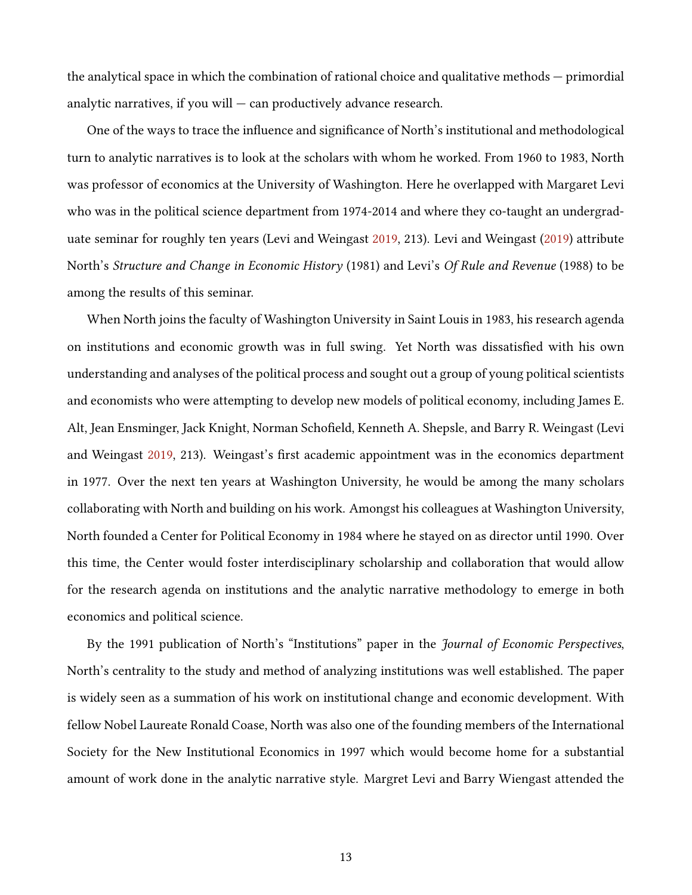the analytical space in which the combination of rational choice and qualitative methods — primordial analytic narratives, if you will  $-$  can productively advance research.

One of the ways to trace the influence and significance of North's institutional and methodological turn to analytic narratives is to look at the scholars with whom he worked. From 1960 to 1983, North was professor of economics at the University of Washington. Here he overlapped with Margaret Levi who was in the political science department from 1974-2014 and where they co-taught an undergraduate seminar for roughly ten years (Levi and Weingast [2019,](#page-29-10) 213). Levi and Weingast [\(2019\)](#page-29-10) attribute North's Structure and Change in Economic History (1981) and Levi's Of Rule and Revenue (1988) to be among the results of this seminar.

When North joins the faculty of Washington University in Saint Louis in 1983, his research agenda on institutions and economic growth was in full swing. Yet North was dissatisfied with his own understanding and analyses of the political process and sought out a group of young political scientists and economists who were attempting to develop new models of political economy, including James E. Alt, Jean Ensminger, Jack Knight, Norman Schofield, Kenneth A. Shepsle, and Barry R. Weingast (Levi and Weingast  $2019$ ,  $213$ ). Weingast's first academic appointment was in the economics department in 1977. Over the next ten years at Washington University, he would be among the many scholars collaborating with North and building on his work. Amongst his colleagues at Washington University, North founded a Center for Political Economy in 1984 where he stayed on as director until 1990. Over this time, the Center would foster interdisciplinary scholarship and collaboration that would allow for the research agenda on institutions and the analytic narrative methodology to emerge in both economics and political science.

By the 1991 publication of North's "Institutions" paper in the Journal of Economic Perspectives, North's centrality to the study and method of analyzing institutions was well established. The paper is widely seen as a summation of his work on institutional change and economic development. With fellow Nobel Laureate Ronald Coase, North was also one of the founding members of the International Society for the New Institutional Economics in 1997 which would become home for a substantial amount of work done in the analytic narrative style. Margret Levi and Barry Wiengast attended the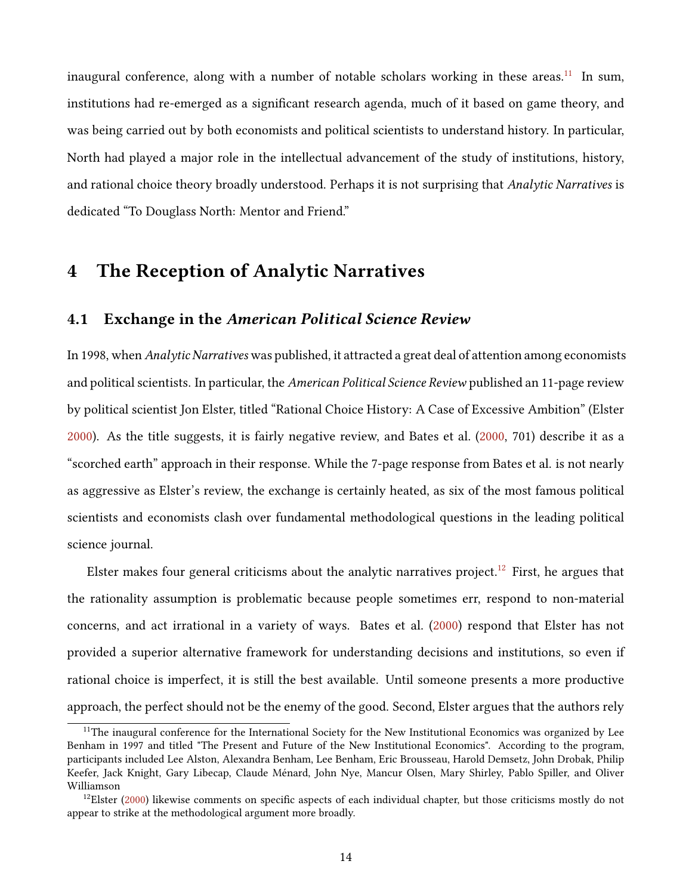inaugural conference, along with a number of notable scholars working in these areas.<sup>[11](#page-13-0)</sup> In sum, institutions had re-emerged as a significant research agenda, much of it based on game theory, and was being carried out by both economists and political scientists to understand history. In particular, North had played a major role in the intellectual advancement of the study of institutions, history, and rational choice theory broadly understood. Perhaps it is not surprising that *Analytic Narratives* is dedicated "To Douglass North: Mentor and Friend."

## 4 The Reception of Analytic Narratives

#### 4.1 Exchange in the American Political Science Review

In 1998, when *Analytic Narratives* was published, it attracted a great deal of attention among economists and political scientists. In particular, the American Political Science Review published an 11-page review by political scientist Jon Elster, titled "Rational Choice History: A Case of Excessive Ambition" (Elster [2000\)](#page-27-8). As the title suggests, it is fairly negative review, and Bates et al. [\(2000,](#page-25-8) 701) describe it as a "scorched earth" approach in their response. While the 7-page response from Bates et al. is not nearly as aggressive as Elster's review, the exchange is certainly heated, as six of the most famous political scientists and economists clash over fundamental methodological questions in the leading political science journal.

Elster makes four general criticisms about the analytic narratives project.<sup>[12](#page-13-1)</sup> First, he argues that the rationality assumption is problematic because people sometimes err, respond to non-material concerns, and act irrational in a variety of ways. Bates et al. [\(2000\)](#page-25-8) respond that Elster has not provided a superior alternative framework for understanding decisions and institutions, so even if rational choice is imperfect, it is still the best available. Until someone presents a more productive approach, the perfect should not be the enemy of the good. Second, Elster argues that the authors rely

<span id="page-13-0"></span> $11$ The inaugural conference for the International Society for the New Institutional Economics was organized by Lee Benham in 1997 and titled "The Present and Future of the New Institutional Economics". According to the program, participants included Lee Alston, Alexandra Benham, Lee Benham, Eric Brousseau, Harold Demsetz, John Drobak, Philip Keefer, Jack Knight, Gary Libecap, Claude Ménard, John Nye, Mancur Olsen, Mary Shirley, Pablo Spiller, and Oliver Williamson

<span id="page-13-1"></span> $12$ Elster [\(2000\)](#page-27-8) likewise comments on specific aspects of each individual chapter, but those criticisms mostly do not appear to strike at the methodological argument more broadly.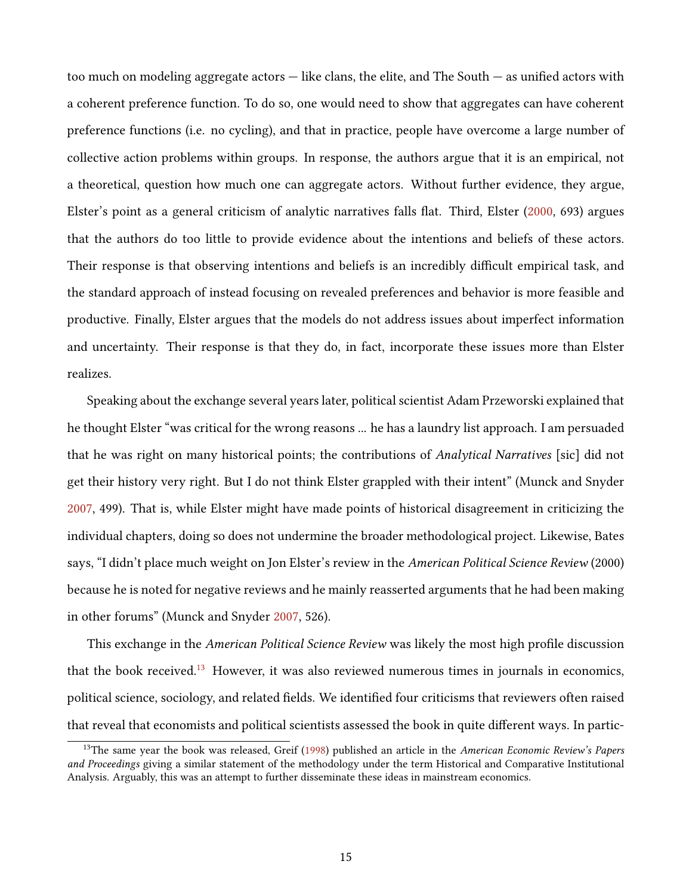too much on modeling aggregate actors  $-$  like clans, the elite, and The South  $-$  as unified actors with a coherent preference function. To do so, one would need to show that aggregates can have coherent preference functions (i.e. no cycling), and that in practice, people have overcome a large number of collective action problems within groups. In response, the authors argue that it is an empirical, not a theoretical, question how much one can aggregate actors. Without further evidence, they argue, Elster's point as a general criticism of analytic narratives falls flat. Third, Elster [\(2000,](#page-27-8) 693) argues that the authors do too little to provide evidence about the intentions and beliefs of these actors. Their response is that observing intentions and beliefs is an incredibly difficult empirical task, and the standard approach of instead focusing on revealed preferences and behavior is more feasible and productive. Finally, Elster argues that the models do not address issues about imperfect information and uncertainty. Their response is that they do, in fact, incorporate these issues more than Elster realizes.

Speaking about the exchange several years later, political scientist Adam Przeworski explained that he thought Elster "was critical for the wrong reasons ... he has a laundry list approach. I am persuaded that he was right on many historical points; the contributions of Analytical Narratives [sic] did not get their history very right. But I do not think Elster grappled with their intent" (Munck and Snyder [2007,](#page-29-0) 499). That is, while Elster might have made points of historical disagreement in criticizing the individual chapters, doing so does not undermine the broader methodological project. Likewise, Bates says, "I didn't place much weight on Jon Elster's review in the American Political Science Review (2000) because he is noted for negative reviews and he mainly reasserted arguments that he had been making in other forums" (Munck and Snyder [2007,](#page-29-0) 526).

This exchange in the *American Political Science Review* was likely the most high profile discussion that the book received.<sup>[13](#page-14-0)</sup> However, it was also reviewed numerous times in journals in economics, political science, sociology, and related fields. We identified four criticisms that reviewers often raised that reveal that economists and political scientists assessed the book in quite different ways. In partic-

<span id="page-14-0"></span> $13$ The same year the book was released, Greif [\(1998\)](#page-28-12) published an article in the American Economic Review's Papers and Proceedings giving a similar statement of the methodology under the term Historical and Comparative Institutional Analysis. Arguably, this was an attempt to further disseminate these ideas in mainstream economics.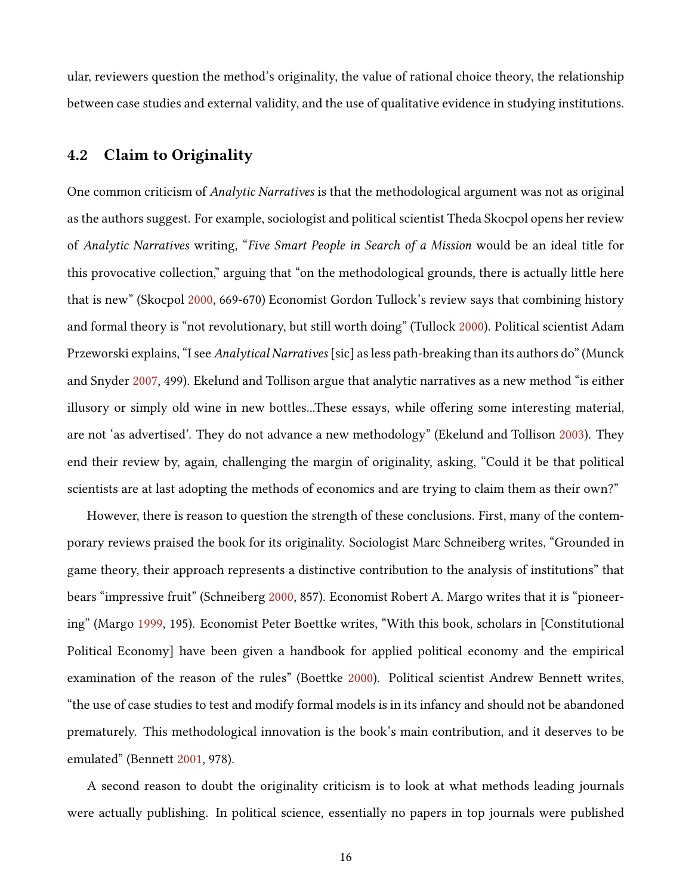ular, reviewers question the method's originality, the value of rational choice theory, the relationship between case studies and external validity, and the use of qualitative evidence in studying institutions.

### 4.2 Claim to Originality

One common criticism of Analytic Narratives is that the methodological argument was not as original as the authors suggest. For example, sociologist and political scientist Theda Skocpol opens her review of Analytic Narratives writing, "Five Smart People in Search of a Mission would be an ideal title for this provocative collection," arguing that "on the methodological grounds, there is actually little here that is new" (Skocpol [2000,](#page-31-1) 669-670) Economist Gordon Tullock's review says that combining history and formal theory is "not revolutionary, but still worth doing" (Tullock [2000\)](#page-31-8). Political scientist Adam Przeworski explains, "I see Analytical Narratives [sic] as less path-breaking than its authors do" (Munck and Snyder [2007,](#page-29-0) 499). Ekelund and Tollison argue that analytic narratives as a new method "is either illusory or simply old wine in new bottles...These essays, while offering some interesting material, are not 'as advertised'. They do not advance a new methodology" (Ekelund and Tollison [2003\)](#page-27-9). They end their review by, again, challenging the margin of originality, asking, "Could it be that political scientists are at last adopting the methods of economics and are trying to claim them as their own?"

However, there is reason to question the strength of these conclusions. First, many of the contemporary reviews praised the book for its originality. Sociologist Marc Schneiberg writes, "Grounded in game theory, their approach represents a distinctive contribution to the analysis of institutions" that bears "impressive fruit" (Schneiberg [2000,](#page-31-9) 857). Economist Robert A. Margo writes that it is "pioneering" (Margo [1999,](#page-29-9) 195). Economist Peter Boettke writes, "With this book, scholars in [Constitutional Political Economy] have been given a handbook for applied political economy and the empirical examination of the reason of the rules" (Boettke [2000\)](#page-26-6). Political scientist Andrew Bennett writes, "the use of case studies to test and modify formal models is in its infancy and should not be abandoned prematurely. This methodological innovation is the book's main contribution, and it deserves to be emulated" (Bennett [2001,](#page-25-9) 978).

A second reason to doubt the originality criticism is to look at what methods leading journals were actually publishing. In political science, essentially no papers in top journals were published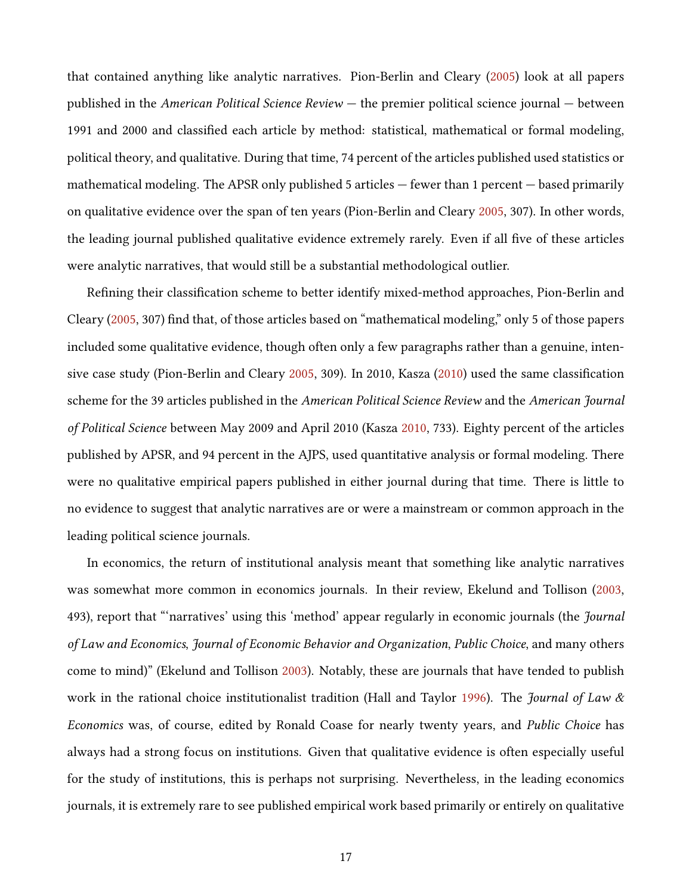that contained anything like analytic narratives. Pion-Berlin and Cleary [\(2005\)](#page-30-9) look at all papers published in the American Political Science Review — the premier political science journal — between 1991 and 2000 and classified each article by method: statistical, mathematical or formal modeling, political theory, and qualitative. During that time, 74 percent of the articles published used statistics or mathematical modeling. The APSR only published 5 articles — fewer than 1 percent — based primarily on qualitative evidence over the span of ten years (Pion-Berlin and Cleary [2005,](#page-30-9) 307). In other words, the leading journal published qualitative evidence extremely rarely. Even if all five of these articles were analytic narratives, that would still be a substantial methodological outlier.

Refining their classification scheme to better identify mixed-method approaches, Pion-Berlin and Cleary [\(2005,](#page-30-9) 307) find that, of those articles based on "mathematical modeling," only 5 of those papers included some qualitative evidence, though often only a few paragraphs rather than a genuine, intensive case study (Pion-Berlin and Cleary  $2005$ , 309). In 2010, Kasza  $(2010)$  used the same classification scheme for the 39 articles published in the American Political Science Review and the American Journal of Political Science between May 2009 and April 2010 (Kasza [2010,](#page-28-13) 733). Eighty percent of the articles published by APSR, and 94 percent in the AJPS, used quantitative analysis or formal modeling. There were no qualitative empirical papers published in either journal during that time. There is little to no evidence to suggest that analytic narratives are or were a mainstream or common approach in the leading political science journals.

In economics, the return of institutional analysis meant that something like analytic narratives was somewhat more common in economics journals. In their review, Ekelund and Tollison [\(2003,](#page-27-9) 493), report that "'narratives' using this 'method' appear regularly in economic journals (the *Journal* of Law and Economics, Journal of Economic Behavior and Organization, Public Choice, and many others come to mind)" (Ekelund and Tollison [2003\)](#page-27-9). Notably, these are journals that have tended to publish work in the rational choice institutionalist tradition (Hall and Taylor [1996\)](#page-28-3). The *Journal of Law &* Economics was, of course, edited by Ronald Coase for nearly twenty years, and Public Choice has always had a strong focus on institutions. Given that qualitative evidence is often especially useful for the study of institutions, this is perhaps not surprising. Nevertheless, in the leading economics journals, it is extremely rare to see published empirical work based primarily or entirely on qualitative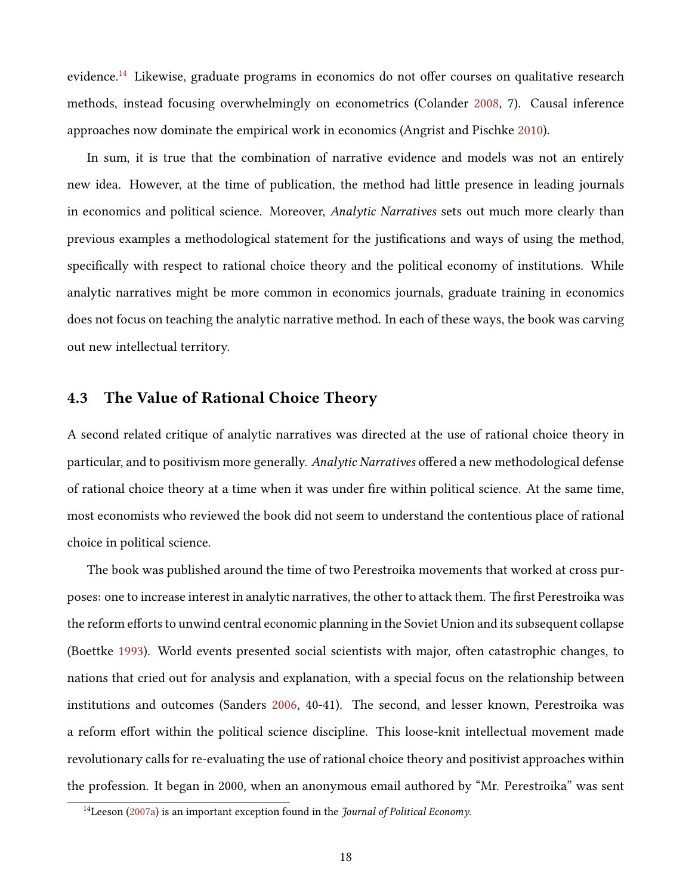evidence.<sup>[14](#page-17-0)</sup> Likewise, graduate programs in economics do not offer courses on qualitative research methods, instead focusing overwhelmingly on econometrics (Colander [2008,](#page-26-7) 7). Causal inference approaches now dominate the empirical work in economics (Angrist and Pischke [2010\)](#page-25-10).

In sum, it is true that the combination of narrative evidence and models was not an entirely new idea. However, at the time of publication, the method had little presence in leading journals in economics and political science. Moreover, Analytic Narratives sets out much more clearly than previous examples a methodological statement for the justifications and ways of using the method, specifically with respect to rational choice theory and the political economy of institutions. While analytic narratives might be more common in economics journals, graduate training in economics does not focus on teaching the analytic narrative method. In each of these ways, the book was carving out new intellectual territory.

#### 4.3 The Value of Rational Choice Theory

A second related critique of analytic narratives was directed at the use of rational choice theory in particular, and to positivism more generally. Analytic Narratives offered a new methodological defense of rational choice theory at a time when it was under fire within political science. At the same time, most economists who reviewed the book did not seem to understand the contentious place of rational choice in political science.

The book was published around the time of two Perestroika movements that worked at cross purposes: one to increase interest in analytic narratives, the other to attack them. The first Perestroika was the reform efforts to unwind central economic planning in the Soviet Union and its subsequent collapse (Boettke [1993\)](#page-25-3). World events presented social scientists with major, often catastrophic changes, to nations that cried out for analysis and explanation, with a special focus on the relationship between institutions and outcomes (Sanders [2006,](#page-30-1) 40-41). The second, and lesser known, Perestroika was a reform effort within the political science discipline. This loose-knit intellectual movement made revolutionary calls for re-evaluating the use of rational choice theory and positivist approaches within the profession. It began in 2000, when an anonymous email authored by "Mr. Perestroika" was sent

<span id="page-17-0"></span> $14$ Leeson [\(2007a\)](#page-28-7) is an important exception found in the *Journal of Political Economy*.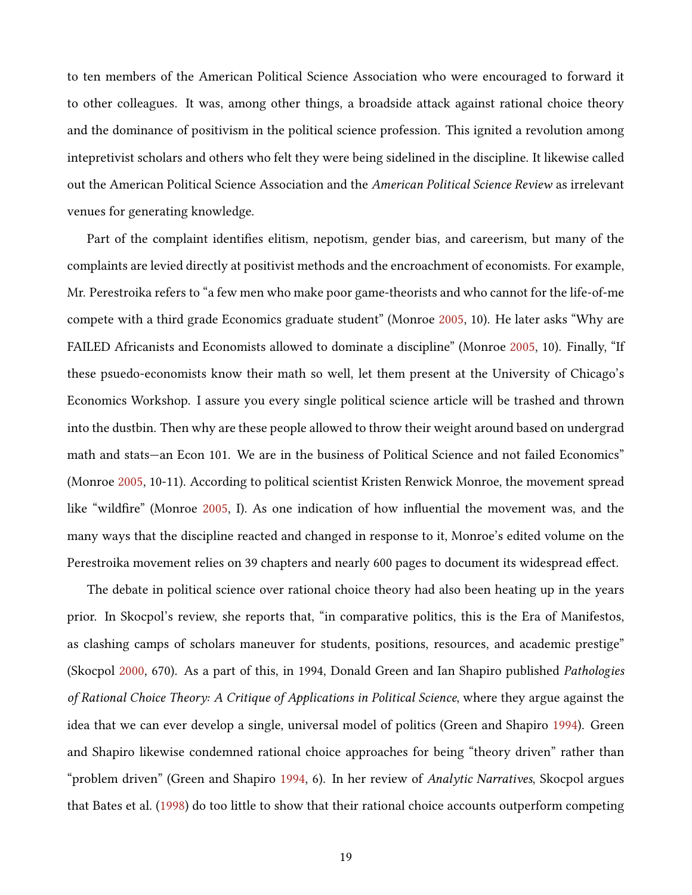to ten members of the American Political Science Association who were encouraged to forward it to other colleagues. It was, among other things, a broadside attack against rational choice theory and the dominance of positivism in the political science profession. This ignited a revolution among intepretivist scholars and others who felt they were being sidelined in the discipline. It likewise called out the American Political Science Association and the American Political Science Review as irrelevant venues for generating knowledge.

Part of the complaint identifies elitism, nepotism, gender bias, and careerism, but many of the complaints are levied directly at positivist methods and the encroachment of economists. For example, Mr. Perestroika refers to "a few men who make poor game-theorists and who cannot for the life-of-me compete with a third grade Economics graduate student" (Monroe [2005,](#page-29-11) 10). He later asks "Why are FAILED Africanists and Economists allowed to dominate a discipline" (Monroe [2005,](#page-29-11) 10). Finally, "If these psuedo-economists know their math so well, let them present at the University of Chicago's Economics Workshop. I assure you every single political science article will be trashed and thrown into the dustbin. Then why are these people allowed to throw their weight around based on undergrad math and stats—an Econ 101. We are in the business of Political Science and not failed Economics" (Monroe [2005,](#page-29-11) 10-11). According to political scientist Kristen Renwick Monroe, the movement spread like "wildfire" (Monroe [2005,](#page-29-11) I). As one indication of how influential the movement was, and the many ways that the discipline reacted and changed in response to it, Monroe's edited volume on the Perestroika movement relies on 39 chapters and nearly 600 pages to document its widespread effect.

The debate in political science over rational choice theory had also been heating up in the years prior. In Skocpol's review, she reports that, "in comparative politics, this is the Era of Manifestos, as clashing camps of scholars maneuver for students, positions, resources, and academic prestige" (Skocpol [2000,](#page-31-1) 670). As a part of this, in 1994, Donald Green and Ian Shapiro published Pathologies of Rational Choice Theory: A Critique of Applications in Political Science, where they argue against the idea that we can ever develop a single, universal model of politics (Green and Shapiro [1994\)](#page-27-10). Green and Shapiro likewise condemned rational choice approaches for being "theory driven" rather than "problem driven" (Green and Shapiro [1994,](#page-27-10) 6). In her review of *Analytic Narratives*, Skocpol argues that Bates et al. [\(1998\)](#page-25-1) do too little to show that their rational choice accounts outperform competing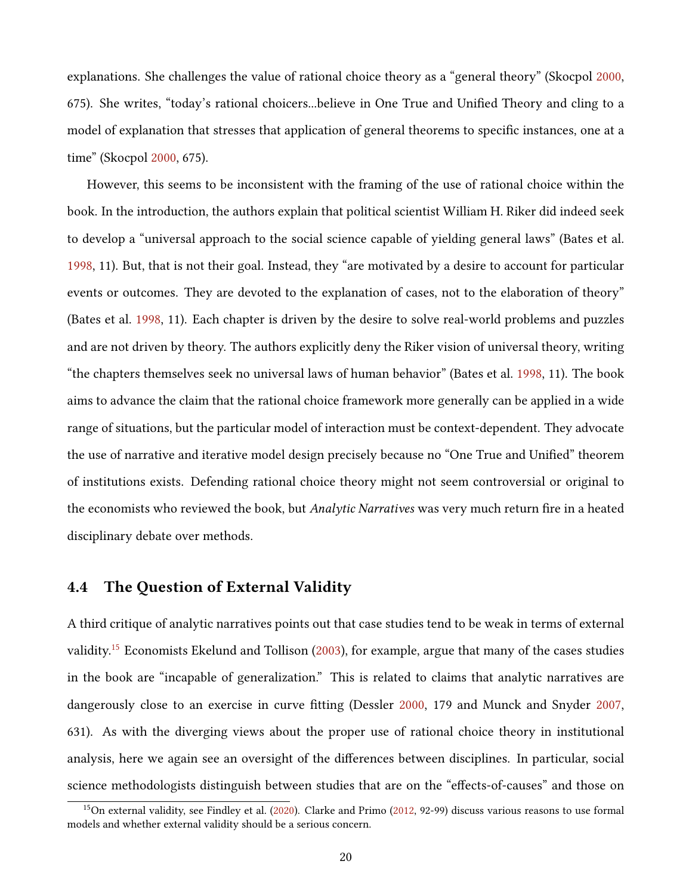explanations. She challenges the value of rational choice theory as a "general theory" (Skocpol [2000,](#page-31-1) 675). She writes, "today's rational choicers...believe in One True and Unified Theory and cling to a model of explanation that stresses that application of general theorems to specific instances, one at a time" (Skocpol [2000,](#page-31-1) 675).

However, this seems to be inconsistent with the framing of the use of rational choice within the book. In the introduction, the authors explain that political scientist William H. Riker did indeed seek to develop a "universal approach to the social science capable of yielding general laws" (Bates et al. [1998,](#page-25-1) 11). But, that is not their goal. Instead, they "are motivated by a desire to account for particular events or outcomes. They are devoted to the explanation of cases, not to the elaboration of theory" (Bates et al. [1998,](#page-25-1) 11). Each chapter is driven by the desire to solve real-world problems and puzzles and are not driven by theory. The authors explicitly deny the Riker vision of universal theory, writing "the chapters themselves seek no universal laws of human behavior" (Bates et al. [1998,](#page-25-1) 11). The book aims to advance the claim that the rational choice framework more generally can be applied in a wide range of situations, but the particular model of interaction must be context-dependent. They advocate the use of narrative and iterative model design precisely because no "One True and Unified" theorem of institutions exists. Defending rational choice theory might not seem controversial or original to the economists who reviewed the book, but Analytic Narratives was very much return fire in a heated disciplinary debate over methods.

#### 4.4 The Question of External Validity

A third critique of analytic narratives points out that case studies tend to be weak in terms of external validity.<sup>[15](#page-19-0)</sup> Economists Ekelund and Tollison [\(2003\)](#page-27-9), for example, argue that many of the cases studies in the book are "incapable of generalization." This is related to claims that analytic narratives are dangerously close to an exercise in curve tting (Dessler [2000,](#page-26-8) 179 and Munck and Snyder [2007,](#page-29-0) 631). As with the diverging views about the proper use of rational choice theory in institutional analysis, here we again see an oversight of the differences between disciplines. In particular, social science methodologists distinguish between studies that are on the "effects-of-causes" and those on

<span id="page-19-0"></span><sup>&</sup>lt;sup>15</sup>On external validity, see Findley et al. [\(2020\)](#page-27-11). Clarke and Primo [\(2012,](#page-26-9) 92-99) discuss various reasons to use formal models and whether external validity should be a serious concern.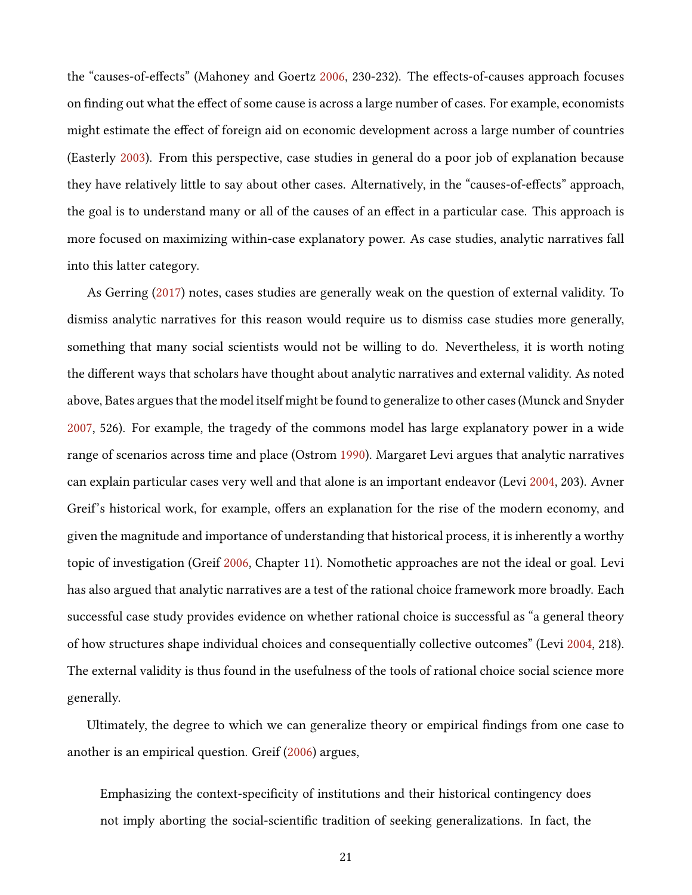the "causes-of-effects" (Mahoney and Goertz [2006,](#page-29-12) 230-232). The effects-of-causes approach focuses on finding out what the effect of some cause is across a large number of cases. For example, economists might estimate the effect of foreign aid on economic development across a large number of countries (Easterly [2003\)](#page-27-12). From this perspective, case studies in general do a poor job of explanation because they have relatively little to say about other cases. Alternatively, in the "causes-of-effects" approach, the goal is to understand many or all of the causes of an effect in a particular case. This approach is more focused on maximizing within-case explanatory power. As case studies, analytic narratives fall into this latter category.

As Gerring [\(2017\)](#page-27-0) notes, cases studies are generally weak on the question of external validity. To dismiss analytic narratives for this reason would require us to dismiss case studies more generally, something that many social scientists would not be willing to do. Nevertheless, it is worth noting the different ways that scholars have thought about analytic narratives and external validity. As noted above, Bates argues that the model itself might be found to generalize to other cases (Munck and Snyder [2007,](#page-29-0) 526). For example, the tragedy of the commons model has large explanatory power in a wide range of scenarios across time and place (Ostrom [1990\)](#page-30-7). Margaret Levi argues that analytic narratives can explain particular cases very well and that alone is an important endeavor (Levi [2004,](#page-29-1) 203). Avner Greif's historical work, for example, offers an explanation for the rise of the modern economy, and given the magnitude and importance of understanding that historical process, it is inherently a worthy topic of investigation (Greif [2006,](#page-28-0) Chapter 11). Nomothetic approaches are not the ideal or goal. Levi has also argued that analytic narratives are a test of the rational choice framework more broadly. Each successful case study provides evidence on whether rational choice is successful as "a general theory of how structures shape individual choices and consequentially collective outcomes" (Levi [2004,](#page-29-1) 218). The external validity is thus found in the usefulness of the tools of rational choice social science more generally.

Ultimately, the degree to which we can generalize theory or empirical findings from one case to another is an empirical question. Greif [\(2006\)](#page-28-0) argues,

Emphasizing the context-specificity of institutions and their historical contingency does not imply aborting the social-scientific tradition of seeking generalizations. In fact, the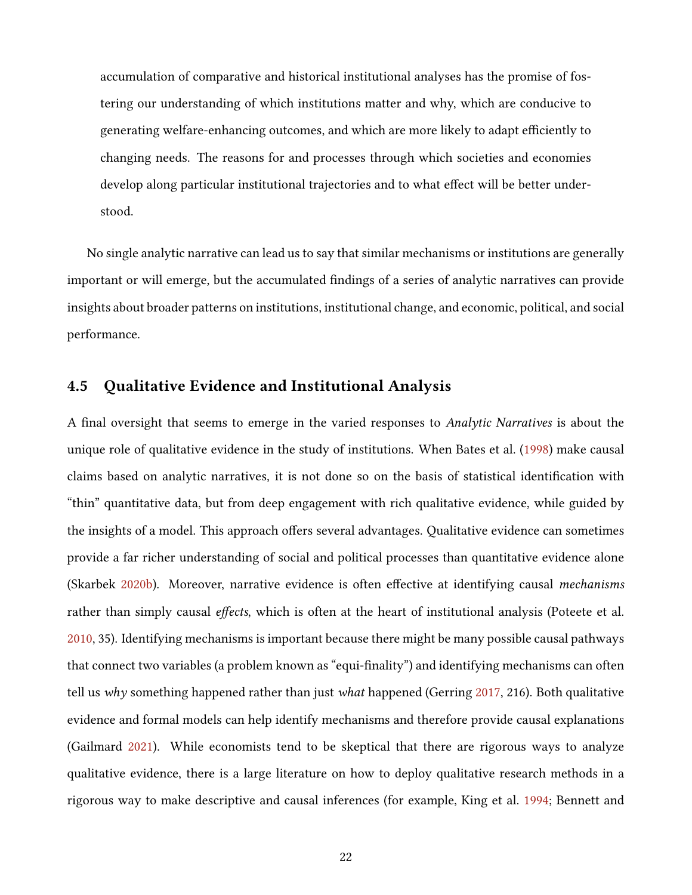accumulation of comparative and historical institutional analyses has the promise of fostering our understanding of which institutions matter and why, which are conducive to generating welfare-enhancing outcomes, and which are more likely to adapt efficiently to changing needs. The reasons for and processes through which societies and economies develop along particular institutional trajectories and to what effect will be better understood.

No single analytic narrative can lead us to say that similar mechanisms or institutions are generally important or will emerge, but the accumulated findings of a series of analytic narratives can provide insights about broader patterns on institutions, institutional change, and economic, political, and social performance.

### 4.5 Qualitative Evidence and Institutional Analysis

A final oversight that seems to emerge in the varied responses to Analytic Narratives is about the unique role of qualitative evidence in the study of institutions. When Bates et al. [\(1998\)](#page-25-1) make causal claims based on analytic narratives, it is not done so on the basis of statistical identification with "thin" quantitative data, but from deep engagement with rich qualitative evidence, while guided by the insights of a model. This approach offers several advantages. Qualitative evidence can sometimes provide a far richer understanding of social and political processes than quantitative evidence alone (Skarbek [2020b\)](#page-31-10). Moreover, narrative evidence is often effective at identifying causal *mechanisms* rather than simply causal effects, which is often at the heart of institutional analysis (Poteete et al. [2010,](#page-30-10) 35). Identifying mechanisms is important because there might be many possible causal pathways that connect two variables (a problem known as "equi-finality") and identifying mechanisms can often tell us why something happened rather than just what happened (Gerring  $2017$ , 216). Both qualitative evidence and formal models can help identify mechanisms and therefore provide causal explanations (Gailmard [2021\)](#page-27-13). While economists tend to be skeptical that there are rigorous ways to analyze qualitative evidence, there is a large literature on how to deploy qualitative research methods in a rigorous way to make descriptive and causal inferences (for example, King et al. [1994;](#page-28-5) Bennett and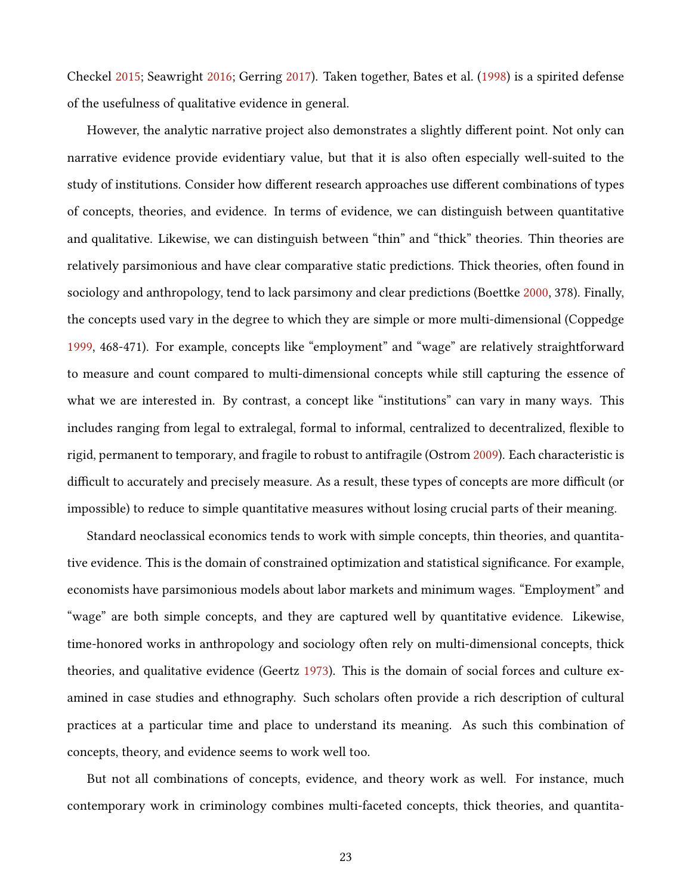Checkel [2015;](#page-25-2) Seawright [2016;](#page-31-11) Gerring [2017\)](#page-27-0). Taken together, Bates et al. [\(1998\)](#page-25-1) is a spirited defense of the usefulness of qualitative evidence in general.

However, the analytic narrative project also demonstrates a slightly different point. Not only can narrative evidence provide evidentiary value, but that it is also often especially well-suited to the study of institutions. Consider how different research approaches use different combinations of types of concepts, theories, and evidence. In terms of evidence, we can distinguish between quantitative and qualitative. Likewise, we can distinguish between "thin" and "thick" theories. Thin theories are relatively parsimonious and have clear comparative static predictions. Thick theories, often found in sociology and anthropology, tend to lack parsimony and clear predictions (Boettke [2000,](#page-26-6) 378). Finally, the concepts used vary in the degree to which they are simple or more multi-dimensional (Coppedge [1999,](#page-26-10) 468-471). For example, concepts like "employment" and "wage" are relatively straightforward to measure and count compared to multi-dimensional concepts while still capturing the essence of what we are interested in. By contrast, a concept like "institutions" can vary in many ways. This includes ranging from legal to extralegal, formal to informal, centralized to decentralized, flexible to rigid, permanent to temporary, and fragile to robust to antifragile (Ostrom [2009\)](#page-30-11). Each characteristic is difficult to accurately and precisely measure. As a result, these types of concepts are more difficult (or impossible) to reduce to simple quantitative measures without losing crucial parts of their meaning.

Standard neoclassical economics tends to work with simple concepts, thin theories, and quantitative evidence. This is the domain of constrained optimization and statistical significance. For example, economists have parsimonious models about labor markets and minimum wages. "Employment" and "wage" are both simple concepts, and they are captured well by quantitative evidence. Likewise, time-honored works in anthropology and sociology often rely on multi-dimensional concepts, thick theories, and qualitative evidence (Geertz [1973\)](#page-27-3). This is the domain of social forces and culture examined in case studies and ethnography. Such scholars often provide a rich description of cultural practices at a particular time and place to understand its meaning. As such this combination of concepts, theory, and evidence seems to work well too.

But not all combinations of concepts, evidence, and theory work as well. For instance, much contemporary work in criminology combines multi-faceted concepts, thick theories, and quantita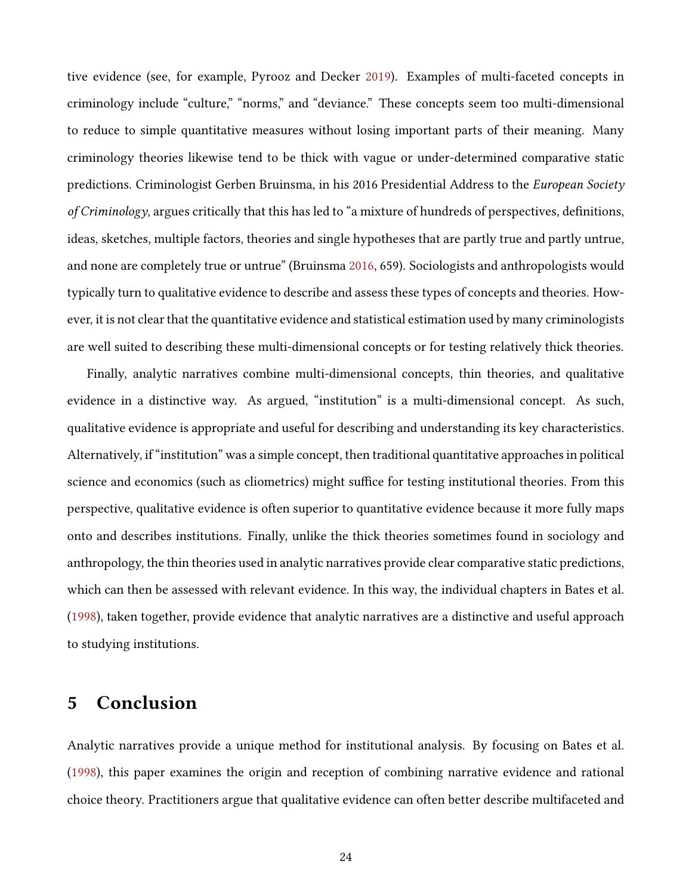tive evidence (see, for example, Pyrooz and Decker [2019\)](#page-30-12). Examples of multi-faceted concepts in criminology include "culture," "norms," and "deviance." These concepts seem too multi-dimensional to reduce to simple quantitative measures without losing important parts of their meaning. Many criminology theories likewise tend to be thick with vague or under-determined comparative static predictions. Criminologist Gerben Bruinsma, in his 2016 Presidential Address to the European Society of Criminology, argues critically that this has led to "a mixture of hundreds of perspectives, definitions, ideas, sketches, multiple factors, theories and single hypotheses that are partly true and partly untrue, and none are completely true or untrue" (Bruinsma [2016,](#page-26-11) 659). Sociologists and anthropologists would typically turn to qualitative evidence to describe and assess these types of concepts and theories. However, it is not clear that the quantitative evidence and statistical estimation used by many criminologists are well suited to describing these multi-dimensional concepts or for testing relatively thick theories.

Finally, analytic narratives combine multi-dimensional concepts, thin theories, and qualitative evidence in a distinctive way. As argued, "institution" is a multi-dimensional concept. As such, qualitative evidence is appropriate and useful for describing and understanding its key characteristics. Alternatively, if "institution" was a simple concept, then traditional quantitative approaches in political science and economics (such as cliometrics) might suffice for testing institutional theories. From this perspective, qualitative evidence is often superior to quantitative evidence because it more fully maps onto and describes institutions. Finally, unlike the thick theories sometimes found in sociology and anthropology, the thin theories used in analytic narratives provide clear comparative static predictions, which can then be assessed with relevant evidence. In this way, the individual chapters in Bates et al. [\(1998\)](#page-25-1), taken together, provide evidence that analytic narratives are a distinctive and useful approach to studying institutions.

# 5 Conclusion

Analytic narratives provide a unique method for institutional analysis. By focusing on Bates et al. [\(1998\)](#page-25-1), this paper examines the origin and reception of combining narrative evidence and rational choice theory. Practitioners argue that qualitative evidence can often better describe multifaceted and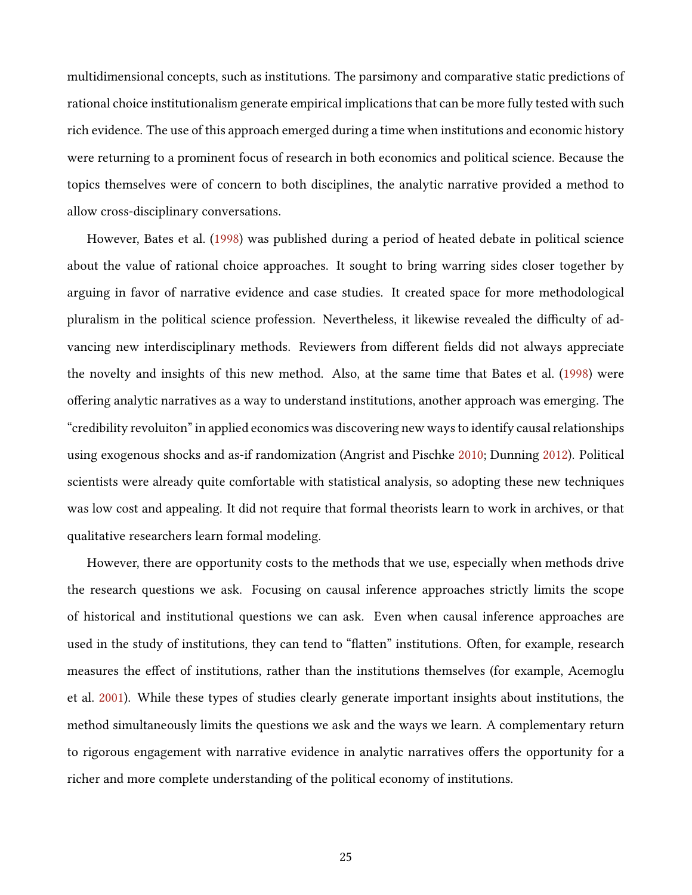multidimensional concepts, such as institutions. The parsimony and comparative static predictions of rational choice institutionalism generate empirical implications that can be more fully tested with such rich evidence. The use of this approach emerged during a time when institutions and economic history were returning to a prominent focus of research in both economics and political science. Because the topics themselves were of concern to both disciplines, the analytic narrative provided a method to allow cross-disciplinary conversations.

However, Bates et al. [\(1998\)](#page-25-1) was published during a period of heated debate in political science about the value of rational choice approaches. It sought to bring warring sides closer together by arguing in favor of narrative evidence and case studies. It created space for more methodological pluralism in the political science profession. Nevertheless, it likewise revealed the difficulty of advancing new interdisciplinary methods. Reviewers from different fields did not always appreciate the novelty and insights of this new method. Also, at the same time that Bates et al. [\(1998\)](#page-25-1) were offering analytic narratives as a way to understand institutions, another approach was emerging. The "credibility revoluiton" in applied economics was discovering new ways to identify causal relationships using exogenous shocks and as-if randomization (Angrist and Pischke [2010;](#page-25-10) Dunning [2012\)](#page-26-12). Political scientists were already quite comfortable with statistical analysis, so adopting these new techniques was low cost and appealing. It did not require that formal theorists learn to work in archives, or that qualitative researchers learn formal modeling.

However, there are opportunity costs to the methods that we use, especially when methods drive the research questions we ask. Focusing on causal inference approaches strictly limits the scope of historical and institutional questions we can ask. Even when causal inference approaches are used in the study of institutions, they can tend to "flatten" institutions. Often, for example, research measures the effect of institutions, rather than the institutions themselves (for example, Acemoglu et al. [2001\)](#page-25-11). While these types of studies clearly generate important insights about institutions, the method simultaneously limits the questions we ask and the ways we learn. A complementary return to rigorous engagement with narrative evidence in analytic narratives offers the opportunity for a richer and more complete understanding of the political economy of institutions.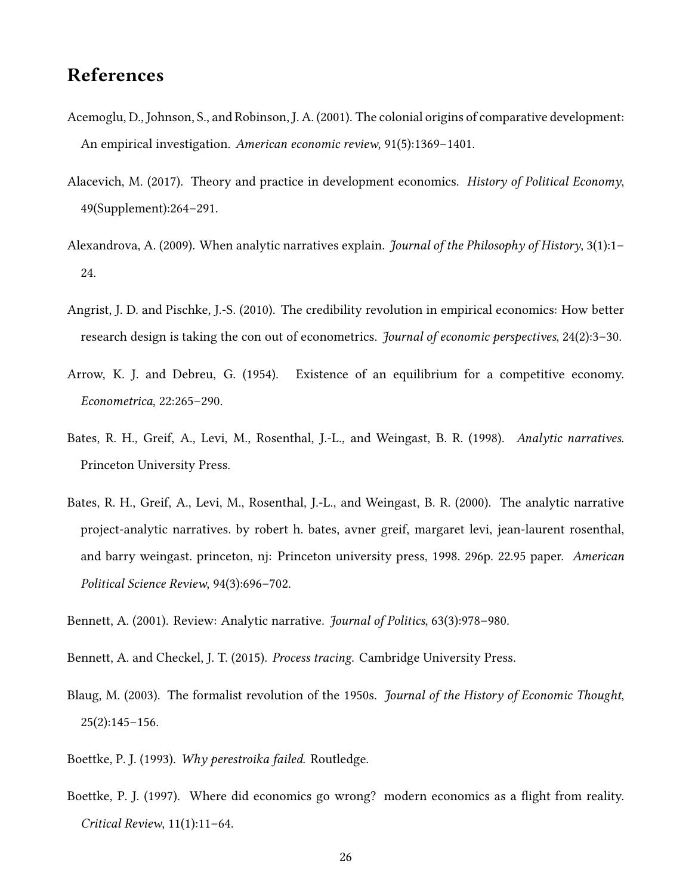# References

- <span id="page-25-11"></span>Acemoglu, D., Johnson, S., and Robinson, J. A. (2001). The colonial origins of comparative development: An empirical investigation. American economic review, 91(5):1369–1401.
- <span id="page-25-7"></span>Alacevich, M. (2017). Theory and practice in development economics. *History of Political Economy*, 49(Supplement):264–291.
- <span id="page-25-0"></span>Alexandrova, A. (2009). When analytic narratives explain. *Journal of the Philosophy of History*, 3(1):1– 24.
- <span id="page-25-10"></span>Angrist, J. D. and Pischke, J.-S. (2010). The credibility revolution in empirical economics: How better research design is taking the con out of econometrics. Journal of economic perspectives, 24(2):3–30.
- <span id="page-25-5"></span>Arrow, K. J. and Debreu, G. (1954). Existence of an equilibrium for a competitive economy. Econometrica, 22:265–290.
- <span id="page-25-1"></span>Bates, R. H., Greif, A., Levi, M., Rosenthal, J.-L., and Weingast, B. R. (1998). Analytic narratives. Princeton University Press.
- <span id="page-25-8"></span>Bates, R. H., Greif, A., Levi, M., Rosenthal, J.-L., and Weingast, B. R. (2000). The analytic narrative project-analytic narratives. by robert h. bates, avner greif, margaret levi, jean-laurent rosenthal, and barry weingast. princeton, nj: Princeton university press, 1998. 296p. 22.95 paper. American Political Science Review, 94(3):696–702.

<span id="page-25-9"></span>Bennett, A. (2001). Review: Analytic narrative. Journal of Politics, 63(3):978–980.

- <span id="page-25-2"></span>Bennett, A. and Checkel, J. T. (2015). Process tracing. Cambridge University Press.
- <span id="page-25-6"></span>Blaug, M. (2003). The formalist revolution of the 1950s. *Journal of the History of Economic Thought*,  $25(2):145-156.$
- <span id="page-25-3"></span>Boettke, P. J. (1993). Why perestroika failed. Routledge.
- <span id="page-25-4"></span>Boettke, P. J. (1997). Where did economics go wrong? modern economics as a flight from reality. Critical Review, 11(1):11–64.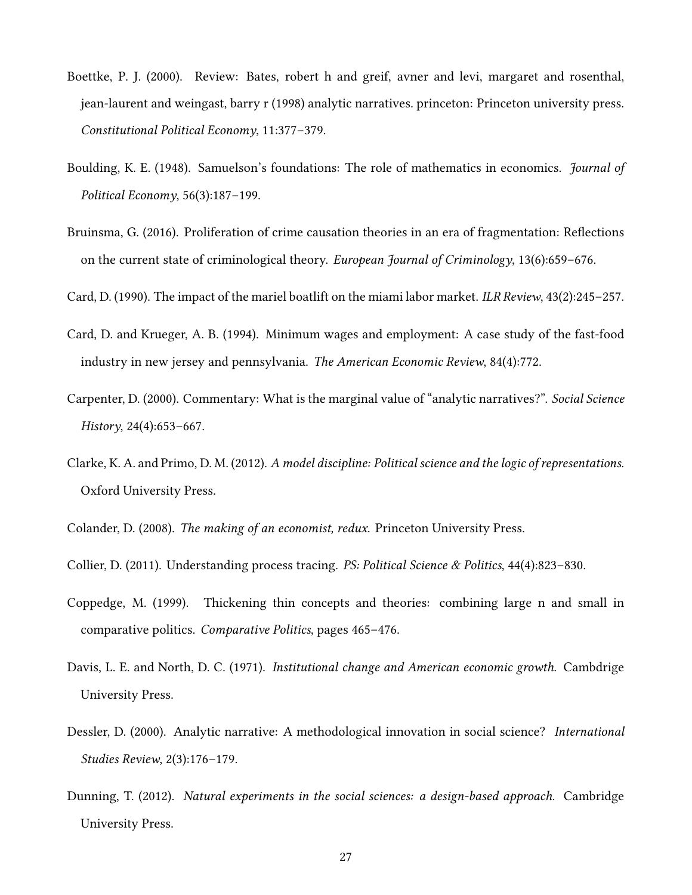- <span id="page-26-6"></span>Boettke, P. J. (2000). Review: Bates, robert h and greif, avner and levi, margaret and rosenthal, jean-laurent and weingast, barry r (1998) analytic narratives. princeton: Princeton university press. Constitutional Political Economy, 11:377–379.
- <span id="page-26-4"></span>Boulding, K. E. (1948). Samuelson's foundations: The role of mathematics in economics. Journal of Political Economy, 56(3):187–199.
- <span id="page-26-11"></span>Bruinsma, G. (2016). Proliferation of crime causation theories in an era of fragmentation: Reflections on the current state of criminological theory. European Journal of Criminology,  $13(6):659-676$ .
- <span id="page-26-1"></span>Card, D. (1990). The impact of the mariel boatlift on the miami labor market. ILR Review, 43(2):245–257.
- <span id="page-26-2"></span>Card, D. and Krueger, A. B. (1994). Minimum wages and employment: A case study of the fast-food industry in new jersey and pennsylvania. The American Economic Review, 84(4):772.
- <span id="page-26-0"></span>Carpenter, D. (2000). Commentary: What is the marginal value of "analytic narratives?". Social Science History, 24(4):653–667.
- <span id="page-26-9"></span>Clarke, K. A. and Primo, D. M. (2012). A model discipline: Political science and the logic of representations. Oxford University Press.
- <span id="page-26-7"></span>Colander, D. (2008). The making of an economist, redux. Princeton University Press.
- <span id="page-26-3"></span>Collier, D. (2011). Understanding process tracing. PS: Political Science & Politics, 44(4):823–830.
- <span id="page-26-10"></span>Coppedge, M. (1999). Thickening thin concepts and theories: combining large n and small in comparative politics. Comparative Politics, pages 465–476.
- <span id="page-26-5"></span>Davis, L. E. and North, D. C. (1971). Institutional change and American economic growth. Cambdrige University Press.
- <span id="page-26-8"></span>Dessler, D. (2000). Analytic narrative: A methodological innovation in social science? *International* Studies Review, 2(3):176–179.
- <span id="page-26-12"></span>Dunning, T. (2012). Natural experiments in the social sciences: a design-based approach. Cambridge University Press.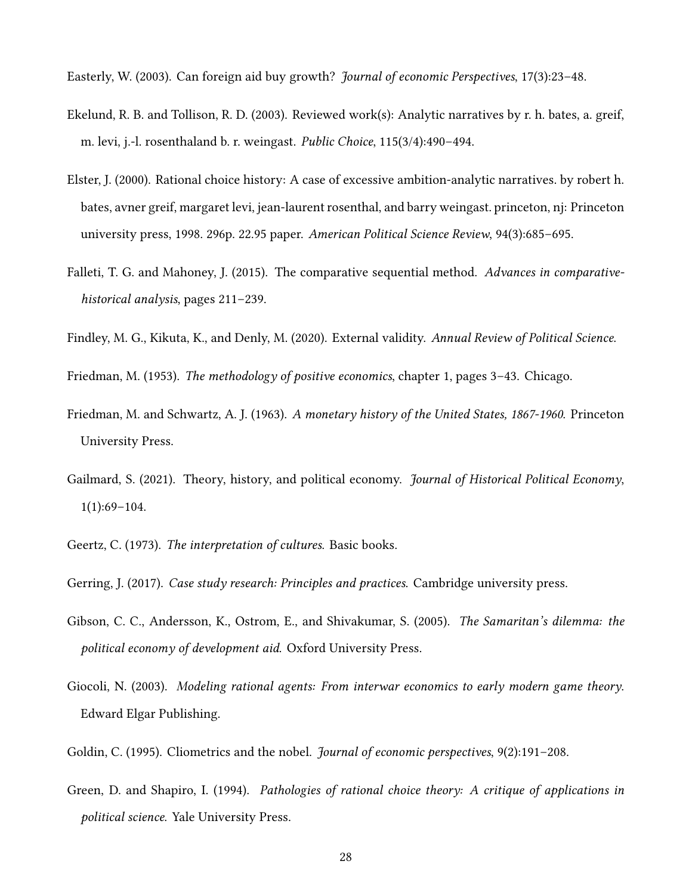<span id="page-27-12"></span>Easterly, W. (2003). Can foreign aid buy growth? *Journal of economic Perspectives*, 17(3):23-48.

- <span id="page-27-9"></span>Ekelund, R. B. and Tollison, R. D. (2003). Reviewed work(s): Analytic narratives by r. h. bates, a. greif, m. levi, j.-l. rosenthaland b. r. weingast. Public Choice, 115(3/4):490–494.
- <span id="page-27-8"></span>Elster, J. (2000). Rational choice history: A case of excessive ambition-analytic narratives. by robert h. bates, avner greif, margaret levi, jean-laurent rosenthal, and barry weingast. princeton, nj: Princeton university press, 1998. 296p. 22.95 paper. American Political Science Review, 94(3):685–695.
- <span id="page-27-4"></span>Falleti, T. G. and Mahoney, J. (2015). The comparative sequential method. Advances in comparativehistorical analysis, pages 211–239.
- <span id="page-27-11"></span>Findley, M. G., Kikuta, K., and Denly, M. (2020). External validity. Annual Review of Political Science.

<span id="page-27-2"></span>Friedman, M. (1953). The methodology of positive economics, chapter 1, pages 3–43. Chicago.

- <span id="page-27-1"></span>Friedman, M. and Schwartz, A. J. (1963). A monetary history of the United States, 1867-1960. Princeton University Press.
- <span id="page-27-13"></span>Gailmard, S. (2021). Theory, history, and political economy. *Journal of Historical Political Economy*, 1(1):69–104.
- <span id="page-27-3"></span>Geertz, C. (1973). The interpretation of cultures. Basic books.
- <span id="page-27-0"></span>Gerring, J. (2017). *Case study research: Principles and practices*. Cambridge university press.
- <span id="page-27-5"></span>Gibson, C. C., Andersson, K., Ostrom, E., and Shivakumar, S. (2005). The Samaritan's dilemma: the political economy of development aid. Oxford University Press.
- <span id="page-27-6"></span>Giocoli, N. (2003). Modeling rational agents: From interwar economics to early modern game theory. Edward Elgar Publishing.
- <span id="page-27-7"></span>Goldin, C. (1995). Cliometrics and the nobel. *Journal of economic perspectives*, 9(2):191–208.
- <span id="page-27-10"></span>Green, D. and Shapiro, I. (1994). Pathologies of rational choice theory: A critique of applications in political science. Yale University Press.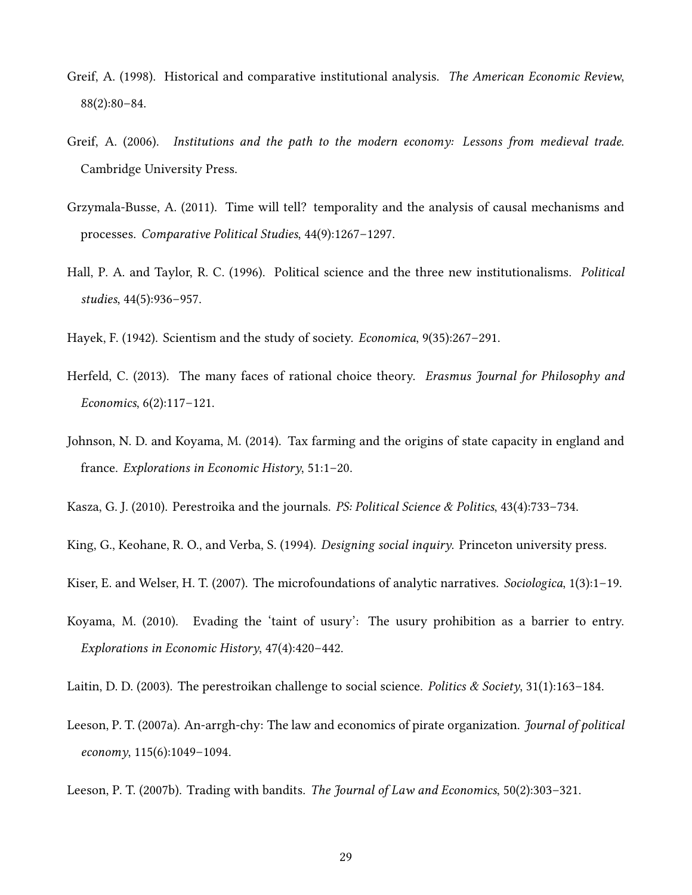- <span id="page-28-12"></span>Greif, A. (1998). Historical and comparative institutional analysis. The American Economic Review, 88(2):80–84.
- <span id="page-28-0"></span>Greif, A. (2006). Institutions and the path to the modern economy: Lessons from medieval trade. Cambridge University Press.
- <span id="page-28-6"></span>Grzymala-Busse, A. (2011). Time will tell? temporality and the analysis of causal mechanisms and processes. Comparative Political Studies, 44(9):1267–1297.
- <span id="page-28-3"></span>Hall, P. A. and Taylor, R. C. (1996). Political science and the three new institutionalisms. Political studies, 44(5):936–957.
- <span id="page-28-11"></span>Hayek, F. (1942). Scientism and the study of society. Economica, 9(35):267–291.
- <span id="page-28-2"></span>Herfeld, C. (2013). The many faces of rational choice theory. *Erasmus Journal for Philosophy and* Economics, 6(2):117–121.
- <span id="page-28-9"></span>Johnson, N. D. and Koyama, M. (2014). Tax farming and the origins of state capacity in england and france. Explorations in Economic History, 51:1–20.

<span id="page-28-13"></span>Kasza, G. J. (2010). Perestroika and the journals. *PS: Political Science & Politics*, 43(4):733–734.

<span id="page-28-5"></span>King, G., Keohane, R. O., and Verba, S. (1994). Designing social inquiry. Princeton university press.

<span id="page-28-4"></span>Kiser, E. and Welser, H. T. (2007). The microfoundations of analytic narratives. Sociologica, 1(3):1-19.

- <span id="page-28-10"></span>Koyama, M. (2010). Evading the 'taint of usury': The usury prohibition as a barrier to entry. Explorations in Economic History, 47(4):420–442.
- <span id="page-28-1"></span>Laitin, D. D. (2003). The perestroikan challenge to social science. *Politics & Society*, 31(1):163–184.
- <span id="page-28-7"></span>Leeson, P. T. (2007a). An-arrgh-chy: The law and economics of pirate organization. *Journal of political* economy, 115(6):1049–1094.

<span id="page-28-8"></span>Leeson, P. T. (2007b). Trading with bandits. The Journal of Law and Economics, 50(2):303–321.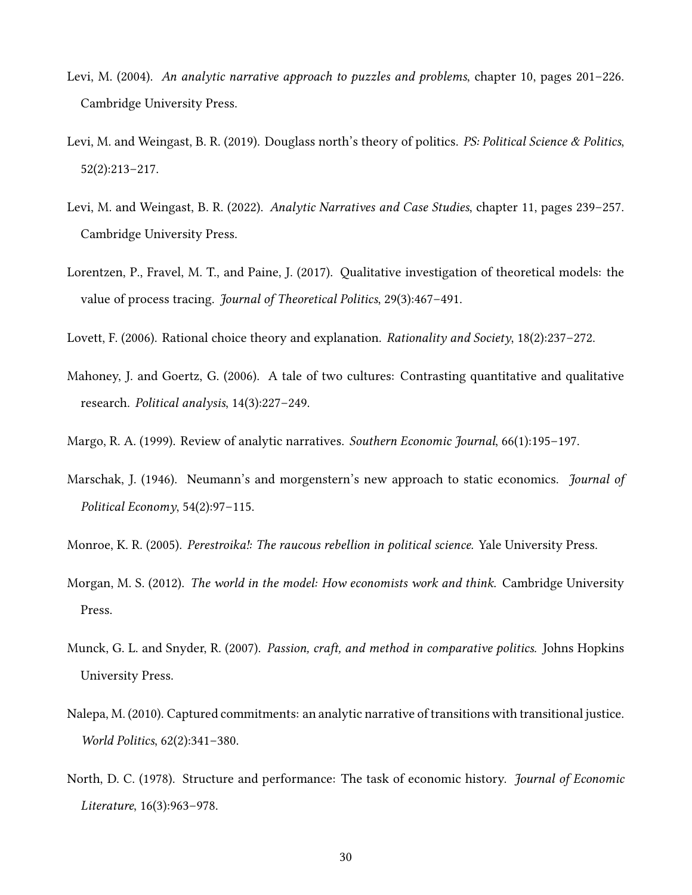- <span id="page-29-1"></span>Levi, M. (2004). An analytic narrative approach to puzzles and problems, chapter 10, pages 201–226. Cambridge University Press.
- <span id="page-29-10"></span>Levi, M. and Weingast, B. R. (2019). Douglass north's theory of politics. PS: Political Science & Politics, 52(2):213–217.
- <span id="page-29-2"></span>Levi, M. and Weingast, B. R. (2022). Analytic Narratives and Case Studies, chapter 11, pages 239–257. Cambridge University Press.
- <span id="page-29-4"></span>Lorentzen, P., Fravel, M. T., and Paine, J. (2017). Qualitative investigation of theoretical models: the value of process tracing. Journal of Theoretical Politics, 29(3):467-491.
- <span id="page-29-3"></span>Lovett, F. (2006). Rational choice theory and explanation. Rationality and Society, 18(2):237–272.
- <span id="page-29-12"></span>Mahoney, J. and Goertz, G. (2006). A tale of two cultures: Contrasting quantitative and qualitative research. Political analysis, 14(3):227–249.
- <span id="page-29-9"></span>Margo, R. A. (1999). Review of analytic narratives. Southern Economic Journal, 66(1):195–197.
- <span id="page-29-8"></span>Marschak, J. (1946). Neumann's and morgenstern's new approach to static economics. *Journal of* Political Economy, 54(2):97–115.
- <span id="page-29-11"></span>Monroe, K. R. (2005). Perestroika!: The raucous rebellion in political science. Yale University Press.
- <span id="page-29-7"></span>Morgan, M. S. (2012). The world in the model: How economists work and think. Cambridge University Press.
- <span id="page-29-0"></span>Munck, G. L. and Snyder, R. (2007). Passion, craft, and method in comparative politics. Johns Hopkins University Press.
- <span id="page-29-6"></span>Nalepa, M. (2010). Captured commitments: an analytic narrative of transitions with transitional justice. World Politics, 62(2):341–380.
- <span id="page-29-5"></span>North, D. C. (1978). Structure and performance: The task of economic history. *Journal of Economic* Literature, 16(3):963–978.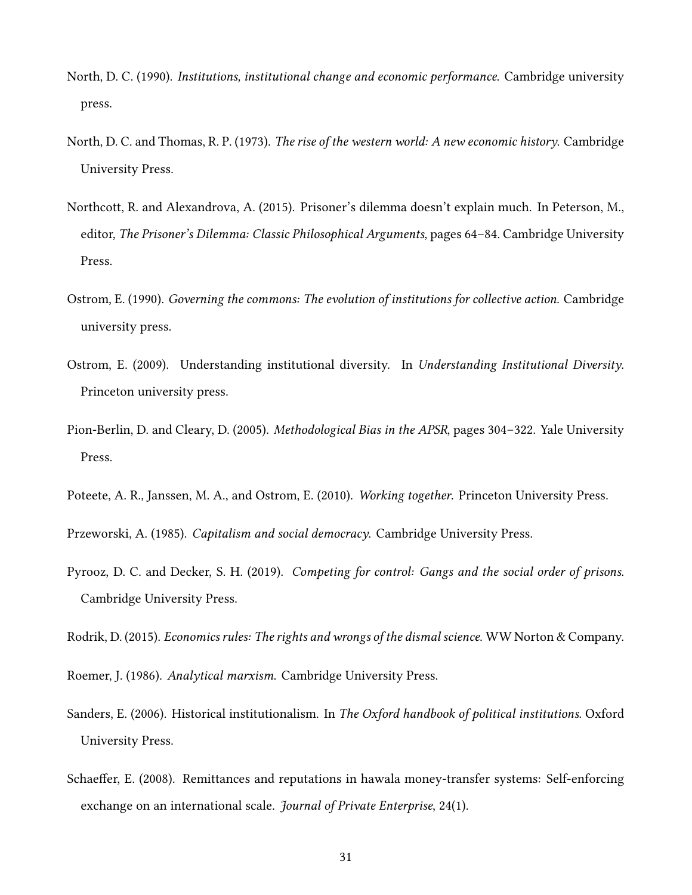- <span id="page-30-0"></span>North, D. C. (1990). Institutions, institutional change and economic performance. Cambridge university press.
- <span id="page-30-6"></span>North, D. C. and Thomas, R. P. (1973). The rise of the western world: A new economic history. Cambridge University Press.
- <span id="page-30-2"></span>Northcott, R. and Alexandrova, A. (2015). Prisoner's dilemma doesn't explain much. In Peterson, M., editor, The Prisoner's Dilemma: Classic Philosophical Arguments, pages 64–84. Cambridge University Press.
- <span id="page-30-7"></span>Ostrom, E. (1990). Governing the commons: The evolution of institutions for collective action. Cambridge university press.
- <span id="page-30-11"></span>Ostrom, E. (2009). Understanding institutional diversity. In Understanding Institutional Diversity. Princeton university press.
- <span id="page-30-9"></span>Pion-Berlin, D. and Cleary, D. (2005). Methodological Bias in the APSR, pages 304–322. Yale University Press.
- <span id="page-30-10"></span>Poteete, A. R., Janssen, M. A., and Ostrom, E. (2010). Working together. Princeton University Press.

<span id="page-30-3"></span>Przeworski, A. (1985). Capitalism and social democracy. Cambridge University Press.

<span id="page-30-12"></span>Pyrooz, D. C. and Decker, S. H. (2019). Competing for control: Gangs and the social order of prisons. Cambridge University Press.

<span id="page-30-5"></span>Rodrik, D. (2015). Economics rules: The rights and wrongs of the dismal science. WW Norton & Company.

<span id="page-30-4"></span>Roemer, J. (1986). Analytical marxism. Cambridge University Press.

- <span id="page-30-1"></span>Sanders, E. (2006). Historical institutionalism. In The Oxford handbook of political institutions. Oxford University Press.
- <span id="page-30-8"></span>Schaeffer, E. (2008). Remittances and reputations in hawala money-transfer systems: Self-enforcing exchange on an international scale. *Journal of Private Enterprise*, 24(1).